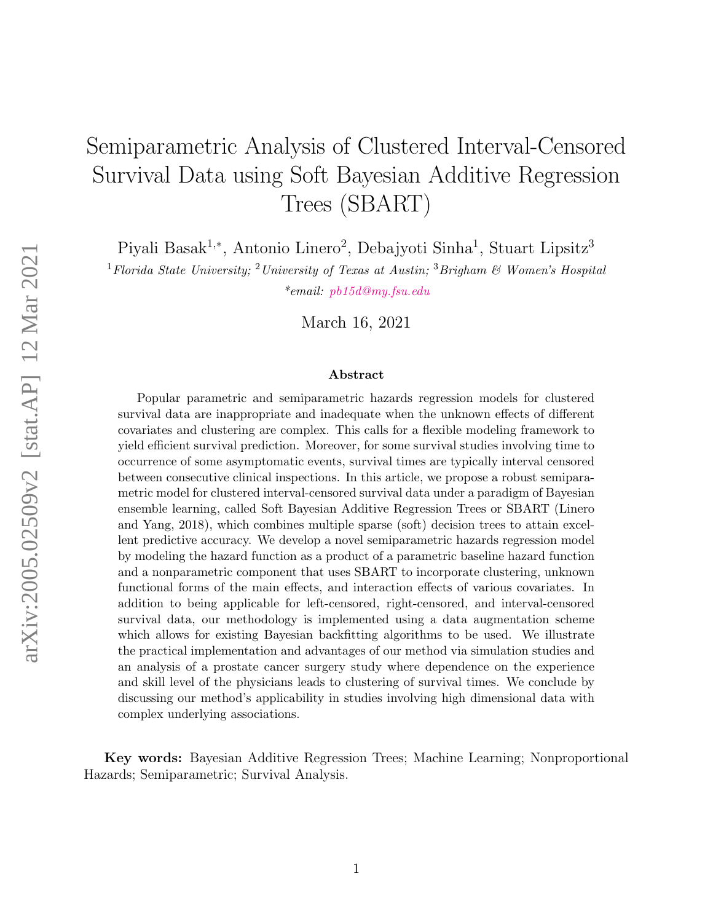# Semiparametric Analysis of Clustered Interval-Censored Survival Data using Soft Bayesian Additive Regression Trees (SBART)

Piyali Basak<sup>1,∗</sup>, Antonio Linero<sup>2</sup>, Debajyoti Sinha<sup>1</sup>, Stuart Lipsitz<sup>3</sup>

<sup>1</sup> Florida State University; <sup>2</sup> University of Texas at Austin; <sup>3</sup> Brigham & Women's Hospital \*email: [pb15d@my.fsu.edu](mailto:pb15d@my.fsu.edu)

March 16, 2021

#### Abstract

Popular parametric and semiparametric hazards regression models for clustered survival data are inappropriate and inadequate when the unknown effects of different covariates and clustering are complex. This calls for a flexible modeling framework to yield efficient survival prediction. Moreover, for some survival studies involving time to occurrence of some asymptomatic events, survival times are typically interval censored between consecutive clinical inspections. In this article, we propose a robust semiparametric model for clustered interval-censored survival data under a paradigm of Bayesian ensemble learning, called Soft Bayesian Additive Regression Trees or SBART (Linero and Yang, 2018), which combines multiple sparse (soft) decision trees to attain excellent predictive accuracy. We develop a novel semiparametric hazards regression model by modeling the hazard function as a product of a parametric baseline hazard function and a nonparametric component that uses SBART to incorporate clustering, unknown functional forms of the main effects, and interaction effects of various covariates. In addition to being applicable for left-censored, right-censored, and interval-censored survival data, our methodology is implemented using a data augmentation scheme which allows for existing Bayesian backfitting algorithms to be used. We illustrate the practical implementation and advantages of our method via simulation studies and an analysis of a prostate cancer surgery study where dependence on the experience and skill level of the physicians leads to clustering of survival times. We conclude by discussing our method's applicability in studies involving high dimensional data with complex underlying associations.

Key words: Bayesian Additive Regression Trees; Machine Learning; Nonproportional Hazards; Semiparametric; Survival Analysis.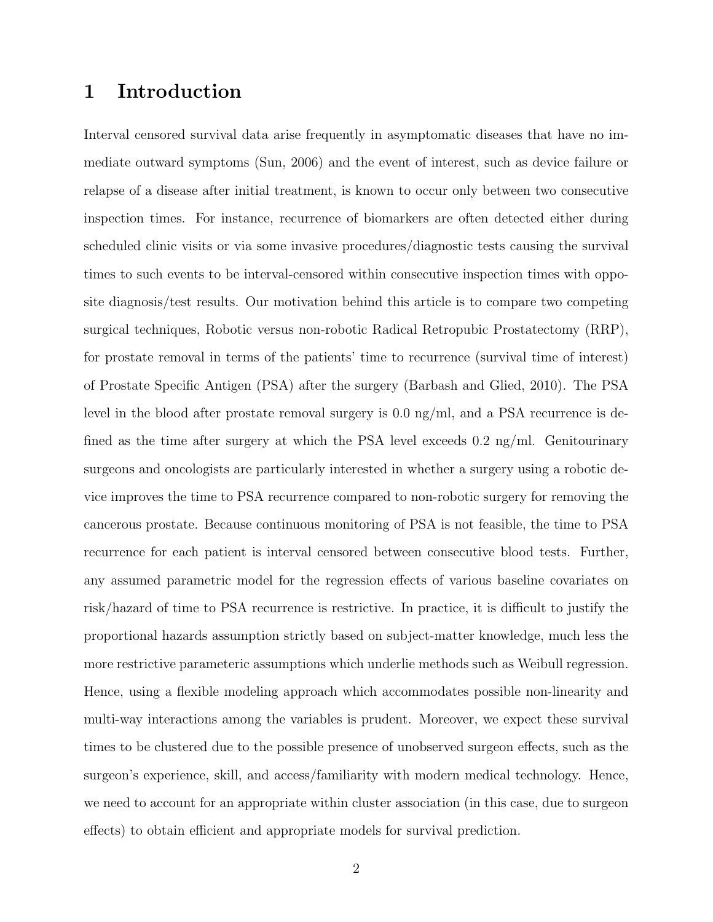## 1 Introduction

Interval censored survival data arise frequently in asymptomatic diseases that have no immediate outward symptoms (Sun, 2006) and the event of interest, such as device failure or relapse of a disease after initial treatment, is known to occur only between two consecutive inspection times. For instance, recurrence of biomarkers are often detected either during scheduled clinic visits or via some invasive procedures/diagnostic tests causing the survival times to such events to be interval-censored within consecutive inspection times with opposite diagnosis/test results. Our motivation behind this article is to compare two competing surgical techniques, Robotic versus non-robotic Radical Retropubic Prostatectomy (RRP), for prostate removal in terms of the patients' time to recurrence (survival time of interest) of Prostate Specific Antigen (PSA) after the surgery (Barbash and Glied, 2010). The PSA level in the blood after prostate removal surgery is 0.0 ng/ml, and a PSA recurrence is defined as the time after surgery at which the PSA level exceeds 0.2 ng/ml. Genitourinary surgeons and oncologists are particularly interested in whether a surgery using a robotic device improves the time to PSA recurrence compared to non-robotic surgery for removing the cancerous prostate. Because continuous monitoring of PSA is not feasible, the time to PSA recurrence for each patient is interval censored between consecutive blood tests. Further, any assumed parametric model for the regression effects of various baseline covariates on risk/hazard of time to PSA recurrence is restrictive. In practice, it is difficult to justify the proportional hazards assumption strictly based on subject-matter knowledge, much less the more restrictive parameteric assumptions which underlie methods such as Weibull regression. Hence, using a flexible modeling approach which accommodates possible non-linearity and multi-way interactions among the variables is prudent. Moreover, we expect these survival times to be clustered due to the possible presence of unobserved surgeon effects, such as the surgeon's experience, skill, and access/familiarity with modern medical technology. Hence, we need to account for an appropriate within cluster association (in this case, due to surgeon effects) to obtain efficient and appropriate models for survival prediction.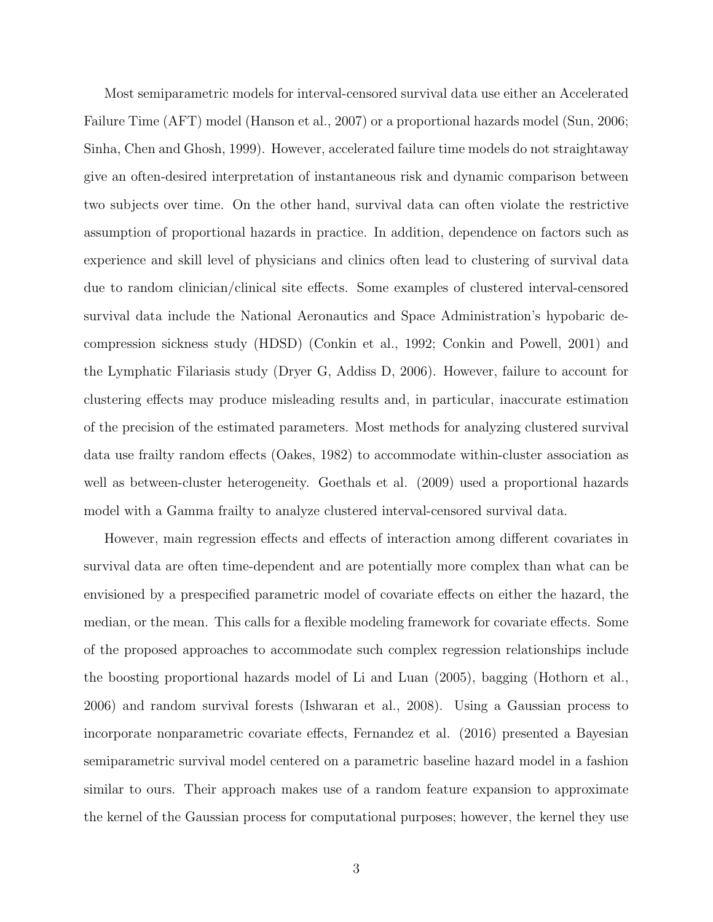Most semiparametric models for interval-censored survival data use either an Accelerated Failure Time (AFT) model (Hanson et al., 2007) or a proportional hazards model (Sun, 2006; Sinha, Chen and Ghosh, 1999). However, accelerated failure time models do not straightaway give an often-desired interpretation of instantaneous risk and dynamic comparison between two subjects over time. On the other hand, survival data can often violate the restrictive assumption of proportional hazards in practice. In addition, dependence on factors such as experience and skill level of physicians and clinics often lead to clustering of survival data due to random clinician/clinical site effects. Some examples of clustered interval-censored survival data include the National Aeronautics and Space Administration's hypobaric decompression sickness study (HDSD) (Conkin et al., 1992; Conkin and Powell, 2001) and the Lymphatic Filariasis study (Dryer G, Addiss D, 2006). However, failure to account for clustering effects may produce misleading results and, in particular, inaccurate estimation of the precision of the estimated parameters. Most methods for analyzing clustered survival data use frailty random effects (Oakes, 1982) to accommodate within-cluster association as well as between-cluster heterogeneity. Goethals et al. (2009) used a proportional hazards model with a Gamma frailty to analyze clustered interval-censored survival data.

However, main regression effects and effects of interaction among different covariates in survival data are often time-dependent and are potentially more complex than what can be envisioned by a prespecified parametric model of covariate effects on either the hazard, the median, or the mean. This calls for a flexible modeling framework for covariate effects. Some of the proposed approaches to accommodate such complex regression relationships include the boosting proportional hazards model of Li and Luan (2005), bagging (Hothorn et al., 2006) and random survival forests (Ishwaran et al., 2008). Using a Gaussian process to incorporate nonparametric covariate effects, Fernandez et al. (2016) presented a Bayesian semiparametric survival model centered on a parametric baseline hazard model in a fashion similar to ours. Their approach makes use of a random feature expansion to approximate the kernel of the Gaussian process for computational purposes; however, the kernel they use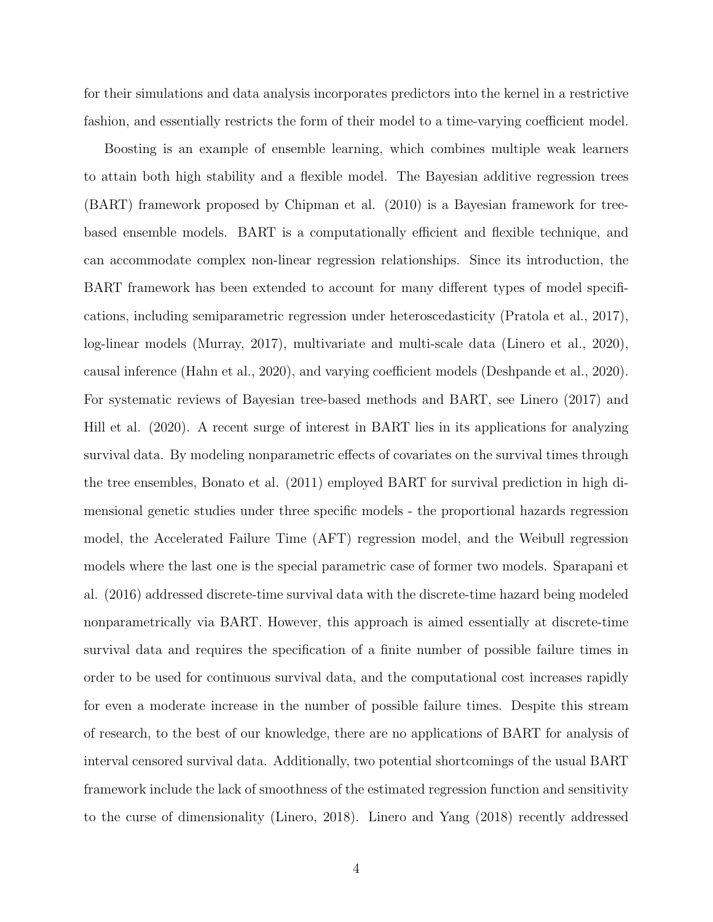for their simulations and data analysis incorporates predictors into the kernel in a restrictive fashion, and essentially restricts the form of their model to a time-varying coefficient model.

Boosting is an example of ensemble learning, which combines multiple weak learners to attain both high stability and a flexible model. The Bayesian additive regression trees (BART) framework proposed by Chipman et al. (2010) is a Bayesian framework for treebased ensemble models. BART is a computationally efficient and flexible technique, and can accommodate complex non-linear regression relationships. Since its introduction, the BART framework has been extended to account for many different types of model specifications, including semiparametric regression under heteroscedasticity (Pratola et al., 2017), log-linear models (Murray, 2017), multivariate and multi-scale data (Linero et al., 2020), causal inference (Hahn et al., 2020), and varying coefficient models (Deshpande et al., 2020). For systematic reviews of Bayesian tree-based methods and BART, see Linero (2017) and Hill et al. (2020). A recent surge of interest in BART lies in its applications for analyzing survival data. By modeling nonparametric effects of covariates on the survival times through the tree ensembles, Bonato et al. (2011) employed BART for survival prediction in high dimensional genetic studies under three specific models - the proportional hazards regression model, the Accelerated Failure Time (AFT) regression model, and the Weibull regression models where the last one is the special parametric case of former two models. Sparapani et al. (2016) addressed discrete-time survival data with the discrete-time hazard being modeled nonparametrically via BART. However, this approach is aimed essentially at discrete-time survival data and requires the specification of a finite number of possible failure times in order to be used for continuous survival data, and the computational cost increases rapidly for even a moderate increase in the number of possible failure times. Despite this stream of research, to the best of our knowledge, there are no applications of BART for analysis of interval censored survival data. Additionally, two potential shortcomings of the usual BART framework include the lack of smoothness of the estimated regression function and sensitivity to the curse of dimensionality (Linero, 2018). Linero and Yang (2018) recently addressed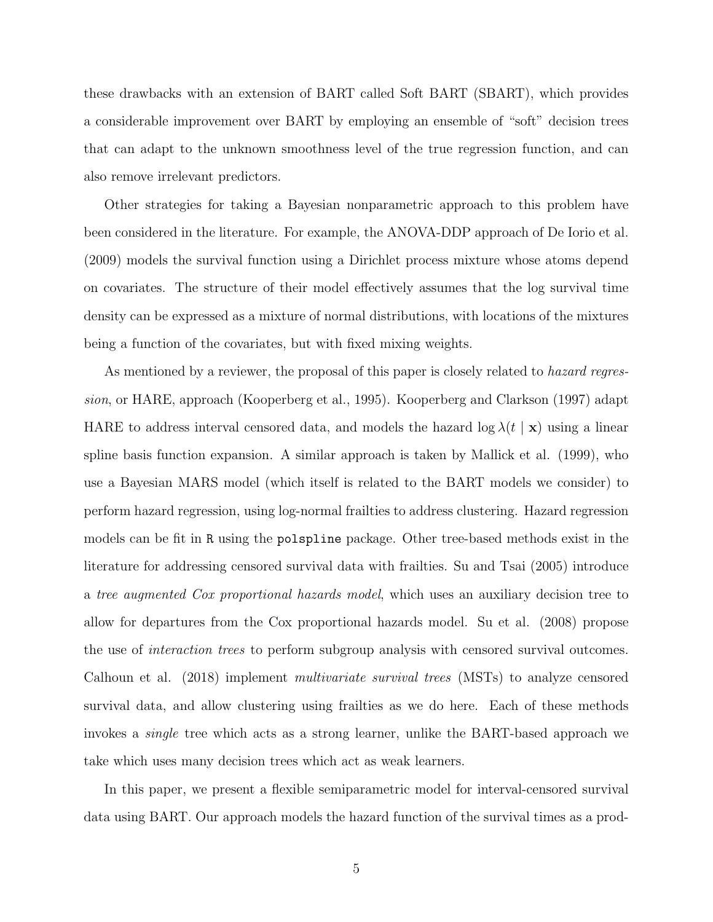these drawbacks with an extension of BART called Soft BART (SBART), which provides a considerable improvement over BART by employing an ensemble of "soft" decision trees that can adapt to the unknown smoothness level of the true regression function, and can also remove irrelevant predictors.

Other strategies for taking a Bayesian nonparametric approach to this problem have been considered in the literature. For example, the ANOVA-DDP approach of De Iorio et al. (2009) models the survival function using a Dirichlet process mixture whose atoms depend on covariates. The structure of their model effectively assumes that the log survival time density can be expressed as a mixture of normal distributions, with locations of the mixtures being a function of the covariates, but with fixed mixing weights.

As mentioned by a reviewer, the proposal of this paper is closely related to *hazard regres*sion, or HARE, approach (Kooperberg et al., 1995). Kooperberg and Clarkson (1997) adapt HARE to address interval censored data, and models the hazard  $\log \lambda(t \mid \mathbf{x})$  using a linear spline basis function expansion. A similar approach is taken by Mallick et al. (1999), who use a Bayesian MARS model (which itself is related to the BART models we consider) to perform hazard regression, using log-normal frailties to address clustering. Hazard regression models can be fit in R using the polspline package. Other tree-based methods exist in the literature for addressing censored survival data with frailties. Su and Tsai (2005) introduce a tree augmented Cox proportional hazards model, which uses an auxiliary decision tree to allow for departures from the Cox proportional hazards model. Su et al. (2008) propose the use of interaction trees to perform subgroup analysis with censored survival outcomes. Calhoun et al. (2018) implement multivariate survival trees (MSTs) to analyze censored survival data, and allow clustering using frailties as we do here. Each of these methods invokes a single tree which acts as a strong learner, unlike the BART-based approach we take which uses many decision trees which act as weak learners.

In this paper, we present a flexible semiparametric model for interval-censored survival data using BART. Our approach models the hazard function of the survival times as a prod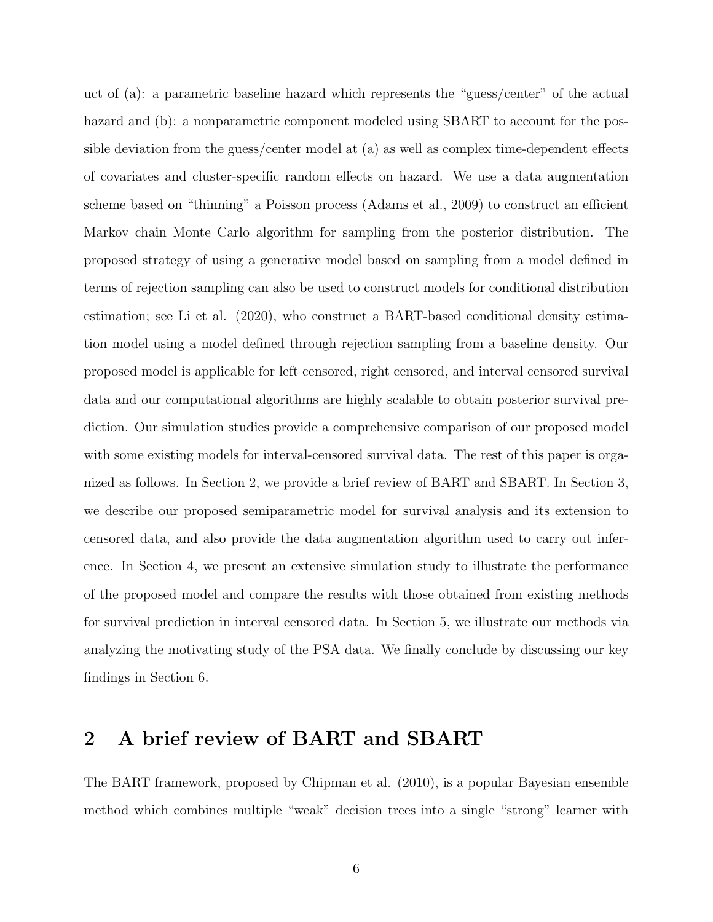uct of (a): a parametric baseline hazard which represents the "guess/center" of the actual hazard and (b): a nonparametric component modeled using SBART to account for the possible deviation from the guess/center model at (a) as well as complex time-dependent effects of covariates and cluster-specific random effects on hazard. We use a data augmentation scheme based on "thinning" a Poisson process (Adams et al., 2009) to construct an efficient Markov chain Monte Carlo algorithm for sampling from the posterior distribution. The proposed strategy of using a generative model based on sampling from a model defined in terms of rejection sampling can also be used to construct models for conditional distribution estimation; see Li et al. (2020), who construct a BART-based conditional density estimation model using a model defined through rejection sampling from a baseline density. Our proposed model is applicable for left censored, right censored, and interval censored survival data and our computational algorithms are highly scalable to obtain posterior survival prediction. Our simulation studies provide a comprehensive comparison of our proposed model with some existing models for interval-censored survival data. The rest of this paper is organized as follows. In Section 2, we provide a brief review of BART and SBART. In Section 3, we describe our proposed semiparametric model for survival analysis and its extension to censored data, and also provide the data augmentation algorithm used to carry out inference. In Section 4, we present an extensive simulation study to illustrate the performance of the proposed model and compare the results with those obtained from existing methods for survival prediction in interval censored data. In Section 5, we illustrate our methods via analyzing the motivating study of the PSA data. We finally conclude by discussing our key findings in Section 6.

# 2 A brief review of BART and SBART

The BART framework, proposed by Chipman et al. (2010), is a popular Bayesian ensemble method which combines multiple "weak" decision trees into a single "strong" learner with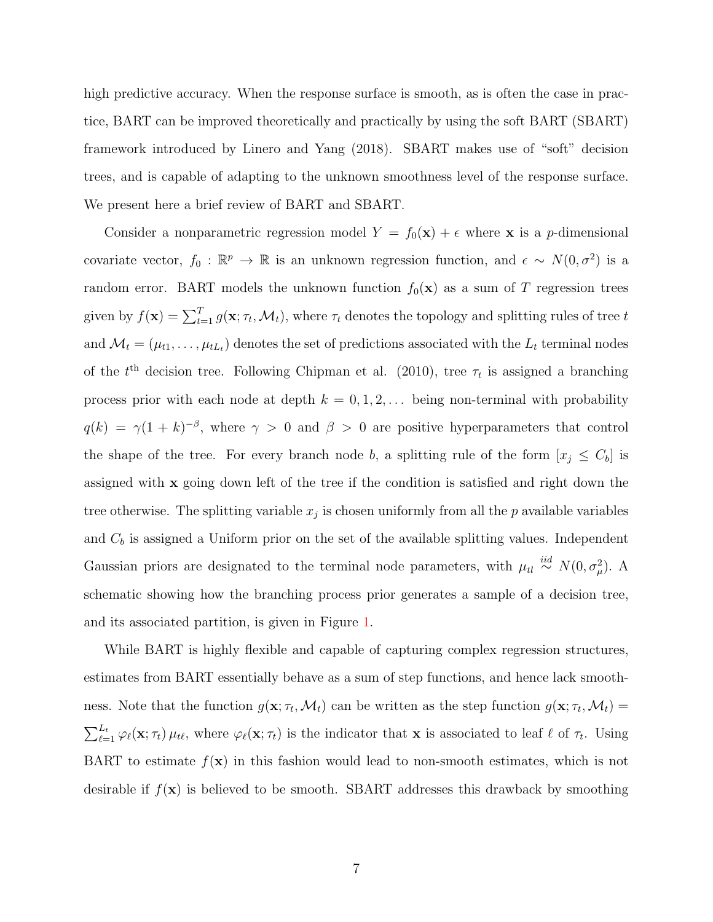high predictive accuracy. When the response surface is smooth, as is often the case in practice, BART can be improved theoretically and practically by using the soft BART (SBART) framework introduced by Linero and Yang (2018). SBART makes use of "soft" decision trees, and is capable of adapting to the unknown smoothness level of the response surface. We present here a brief review of BART and SBART.

Consider a nonparametric regression model  $Y = f_0(\mathbf{x}) + \epsilon$  where **x** is a *p*-dimensional covariate vector,  $f_0 : \mathbb{R}^p \to \mathbb{R}$  is an unknown regression function, and  $\epsilon \sim N(0, \sigma^2)$  is a random error. BART models the unknown function  $f_0(\mathbf{x})$  as a sum of T regression trees given by  $f(\mathbf{x}) = \sum_{t=1}^{T} g(\mathbf{x}; \tau_t, \mathcal{M}_t)$ , where  $\tau_t$  denotes the topology and splitting rules of tree t and  $\mathcal{M}_t = (\mu_{t1}, \dots, \mu_{tL_t})$  denotes the set of predictions associated with the  $L_t$  terminal nodes of the  $t<sup>th</sup>$  decision tree. Following Chipman et al. (2010), tree  $\tau_t$  is assigned a branching process prior with each node at depth  $k = 0, 1, 2, \ldots$  being non-terminal with probability  $q(k) = \gamma(1+k)^{-\beta}$ , where  $\gamma > 0$  and  $\beta > 0$  are positive hyperparameters that control the shape of the tree. For every branch node b, a splitting rule of the form  $[x_j \leq C_b]$  is assigned with x going down left of the tree if the condition is satisfied and right down the tree otherwise. The splitting variable  $x_j$  is chosen uniformly from all the p available variables and  $C_b$  is assigned a Uniform prior on the set of the available splitting values. Independent Gaussian priors are designated to the terminal node parameters, with  $\mu_{tl} \stackrel{iid}{\sim} N(0, \sigma_{\mu}^2)$ . A schematic showing how the branching process prior generates a sample of a decision tree, and its associated partition, is given in Figure [1.](#page-7-0)

While BART is highly flexible and capable of capturing complex regression structures, estimates from BART essentially behave as a sum of step functions, and hence lack smoothness. Note that the function  $g(\mathbf{x}; \tau_t, \mathcal{M}_t)$  can be written as the step function  $g(\mathbf{x}; \tau_t, \mathcal{M}_t)$  $\sum_{\ell=1}^{L_t} \varphi_{\ell}(\mathbf{x}; \tau_t) \mu_{t\ell}$ , where  $\varphi_{\ell}(\mathbf{x}; \tau_t)$  is the indicator that **x** is associated to leaf  $\ell$  of  $\tau_t$ . Using BART to estimate  $f(\mathbf{x})$  in this fashion would lead to non-smooth estimates, which is not desirable if  $f(\mathbf{x})$  is believed to be smooth. SBART addresses this drawback by smoothing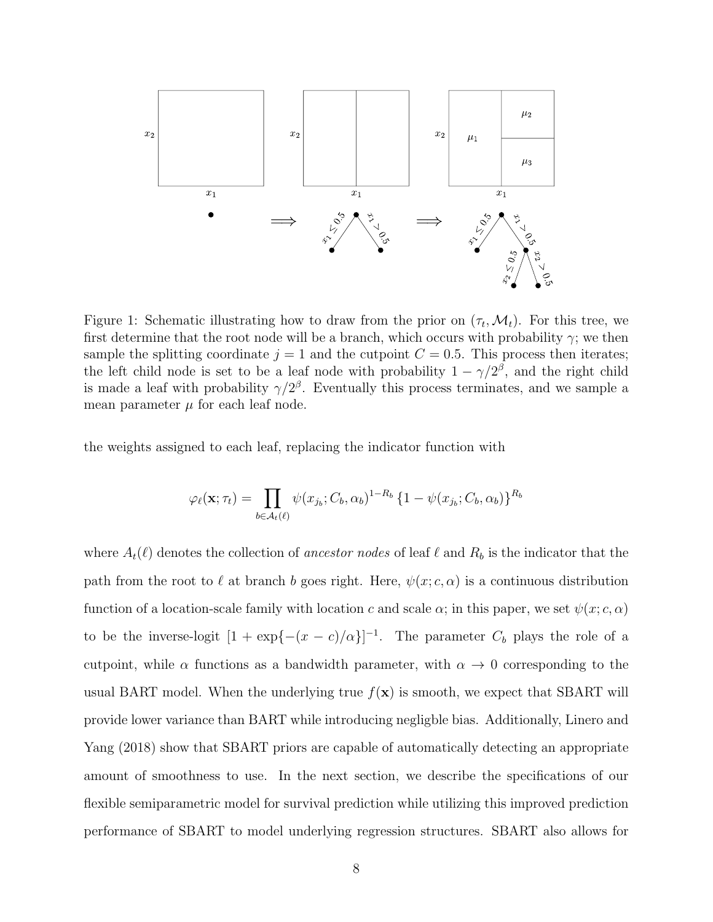<span id="page-7-0"></span>

Figure 1: Schematic illustrating how to draw from the prior on  $(\tau_t, \mathcal{M}_t)$ . For this tree, we first determine that the root node will be a branch, which occurs with probability  $\gamma$ ; we then sample the splitting coordinate  $j = 1$  and the cutpoint  $C = 0.5$ . This process then iterates; the left child node is set to be a leaf node with probability  $1 - \gamma/2^{\beta}$ , and the right child is made a leaf with probability  $\gamma/2^{\beta}$ . Eventually this process terminates, and we sample a mean parameter  $\mu$  for each leaf node.

the weights assigned to each leaf, replacing the indicator function with

$$
\varphi_{\ell}(\mathbf{x}; \tau_t) = \prod_{b \in \mathcal{A}_t(\ell)} \psi(x_{j_b}; C_b, \alpha_b)^{1-R_b} \{1 - \psi(x_{j_b}; C_b, \alpha_b)\}^{R_b}
$$

where  $A_t(\ell)$  denotes the collection of ancestor nodes of leaf  $\ell$  and  $R_b$  is the indicator that the path from the root to  $\ell$  at branch b goes right. Here,  $\psi(x; c, \alpha)$  is a continuous distribution function of a location-scale family with location c and scale  $\alpha$ ; in this paper, we set  $\psi(x; c, \alpha)$ to be the inverse-logit  $[1 + \exp{- (x - c)/\alpha}]^{-1}$ . The parameter  $C_b$  plays the role of a cutpoint, while  $\alpha$  functions as a bandwidth parameter, with  $\alpha \to 0$  corresponding to the usual BART model. When the underlying true  $f(\mathbf{x})$  is smooth, we expect that SBART will provide lower variance than BART while introducing negligble bias. Additionally, Linero and Yang (2018) show that SBART priors are capable of automatically detecting an appropriate amount of smoothness to use. In the next section, we describe the specifications of our flexible semiparametric model for survival prediction while utilizing this improved prediction performance of SBART to model underlying regression structures. SBART also allows for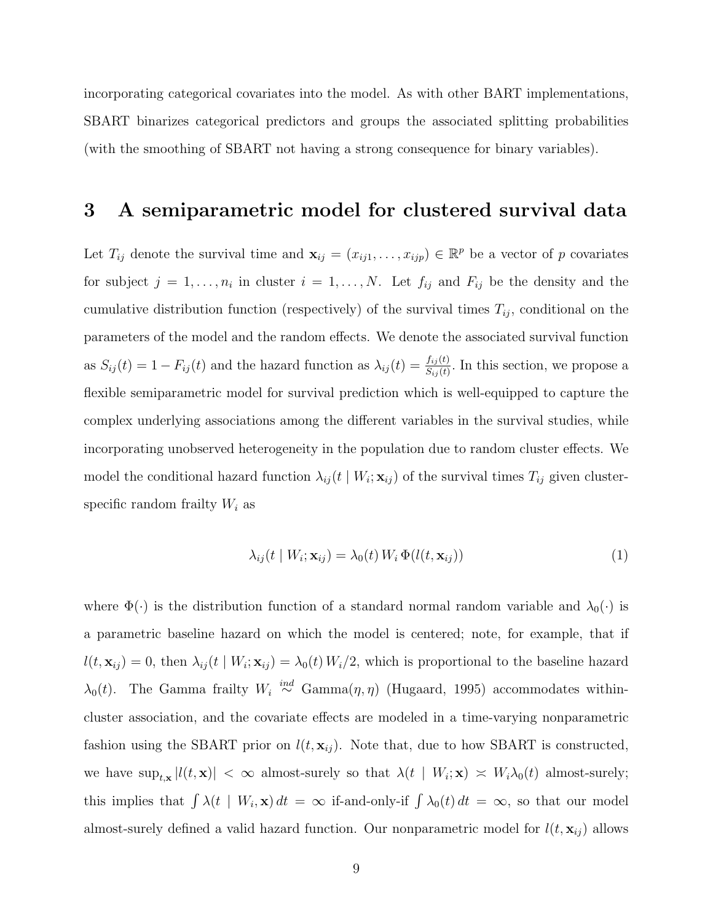incorporating categorical covariates into the model. As with other BART implementations, SBART binarizes categorical predictors and groups the associated splitting probabilities (with the smoothing of SBART not having a strong consequence for binary variables).

### 3 A semiparametric model for clustered survival data

Let  $T_{ij}$  denote the survival time and  $\mathbf{x}_{ij} = (x_{ij1}, \ldots, x_{ijp}) \in \mathbb{R}^p$  be a vector of p covariates for subject  $j = 1, \ldots, n_i$  in cluster  $i = 1, \ldots, N$ . Let  $f_{ij}$  and  $F_{ij}$  be the density and the cumulative distribution function (respectively) of the survival times  $T_{ij}$ , conditional on the parameters of the model and the random effects. We denote the associated survival function as  $S_{ij}(t) = 1 - F_{ij}(t)$  and the hazard function as  $\lambda_{ij}(t) = \frac{f_{ij}(t)}{S_{ij}(t)}$ . In this section, we propose a flexible semiparametric model for survival prediction which is well-equipped to capture the complex underlying associations among the different variables in the survival studies, while incorporating unobserved heterogeneity in the population due to random cluster effects. We model the conditional hazard function  $\lambda_{ij}(t | W_i; \mathbf{x}_{ij})$  of the survival times  $T_{ij}$  given clusterspecific random frailty  $W_i$  as

<span id="page-8-0"></span>
$$
\lambda_{ij}(t \mid W_i; \mathbf{x}_{ij}) = \lambda_0(t) \, W_i \, \Phi(l(t, \mathbf{x}_{ij})) \tag{1}
$$

where  $\Phi(\cdot)$  is the distribution function of a standard normal random variable and  $\lambda_0(\cdot)$  is a parametric baseline hazard on which the model is centered; note, for example, that if  $l(t, \mathbf{x}_{ij}) = 0$ , then  $\lambda_{ij}(t | W_i; \mathbf{x}_{ij}) = \lambda_0(t) W_i/2$ , which is proportional to the baseline hazard  $\lambda_0(t)$ . The Gamma frailty  $W_i \stackrel{ind}{\sim} \text{Gamma}(\eta, \eta)$  (Hugaard, 1995) accommodates withincluster association, and the covariate effects are modeled in a time-varying nonparametric fashion using the SBART prior on  $l(t, \mathbf{x}_{ij})$ . Note that, due to how SBART is constructed, we have  $\sup_{t,\mathbf{x}} |l(t,\mathbf{x})| < \infty$  almost-surely so that  $\lambda(t | W_i; \mathbf{x}) \approx W_i \lambda_0(t)$  almost-surely; this implies that  $\int \lambda(t | W_i, \mathbf{x}) dt = \infty$  if-and-only-if  $\int \lambda_0(t) dt = \infty$ , so that our model almost-surely defined a valid hazard function. Our nonparametric model for  $l(t, x_{ij})$  allows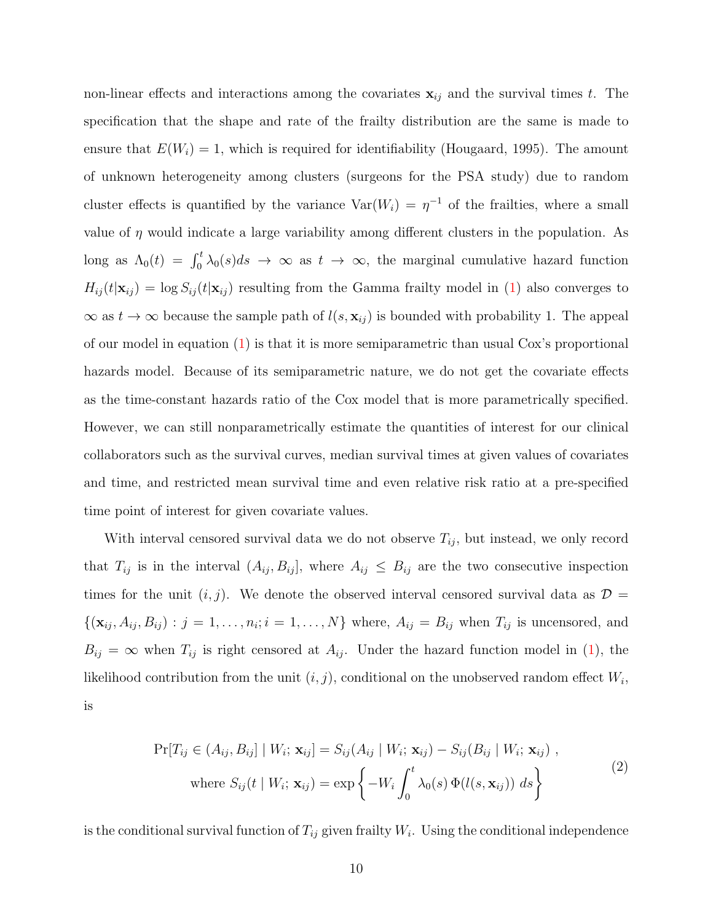non-linear effects and interactions among the covariates  $x_{ij}$  and the survival times t. The specification that the shape and rate of the frailty distribution are the same is made to ensure that  $E(W_i) = 1$ , which is required for identifiability (Hougaard, 1995). The amount of unknown heterogeneity among clusters (surgeons for the PSA study) due to random cluster effects is quantified by the variance  $Var(W_i) = \eta^{-1}$  of the frailties, where a small value of  $\eta$  would indicate a large variability among different clusters in the population. As long as  $\Lambda_0(t) = \int_0^t \lambda_0(s)ds \to \infty$  as  $t \to \infty$ , the marginal cumulative hazard function  $H_{ij}(t|\mathbf{x}_{ij}) = \log S_{ij}(t|\mathbf{x}_{ij})$  resulting from the Gamma frailty model in [\(1\)](#page-8-0) also converges to  $\infty$  as  $t \to \infty$  because the sample path of  $l(s, \mathbf{x}_{ij})$  is bounded with probability 1. The appeal of our model in equation [\(1\)](#page-8-0) is that it is more semiparametric than usual Cox's proportional hazards model. Because of its semiparametric nature, we do not get the covariate effects as the time-constant hazards ratio of the Cox model that is more parametrically specified. However, we can still nonparametrically estimate the quantities of interest for our clinical collaborators such as the survival curves, median survival times at given values of covariates and time, and restricted mean survival time and even relative risk ratio at a pre-specified time point of interest for given covariate values.

With interval censored survival data we do not observe  $T_{ij}$ , but instead, we only record that  $T_{ij}$  is in the interval  $(A_{ij}, B_{ij}]$ , where  $A_{ij} \leq B_{ij}$  are the two consecutive inspection times for the unit  $(i, j)$ . We denote the observed interval censored survival data as  $\mathcal{D} =$  $\{(\mathbf{x}_{ij}, A_{ij}, B_{ij}) : j = 1, \ldots, n_i; i = 1, \ldots, N\}$  where,  $A_{ij} = B_{ij}$  when  $T_{ij}$  is uncensored, and  $B_{ij} = \infty$  when  $T_{ij}$  is right censored at  $A_{ij}$ . Under the hazard function model in [\(1\)](#page-8-0), the likelihood contribution from the unit  $(i, j)$ , conditional on the unobserved random effect  $W_i$ , is

<span id="page-9-0"></span>
$$
\Pr[T_{ij} \in (A_{ij}, B_{ij}] \mid W_i; \mathbf{x}_{ij}] = S_{ij}(A_{ij} \mid W_i; \mathbf{x}_{ij}) - S_{ij}(B_{ij} \mid W_i; \mathbf{x}_{ij}),
$$
  
where  $S_{ij}(t \mid W_i; \mathbf{x}_{ij}) = \exp\left\{-W_i \int_0^t \lambda_0(s) \Phi(l(s, \mathbf{x}_{ij})) ds\right\}$  (2)

is the conditional survival function of  $T_{ij}$  given frailty  $W_i$ . Using the conditional independence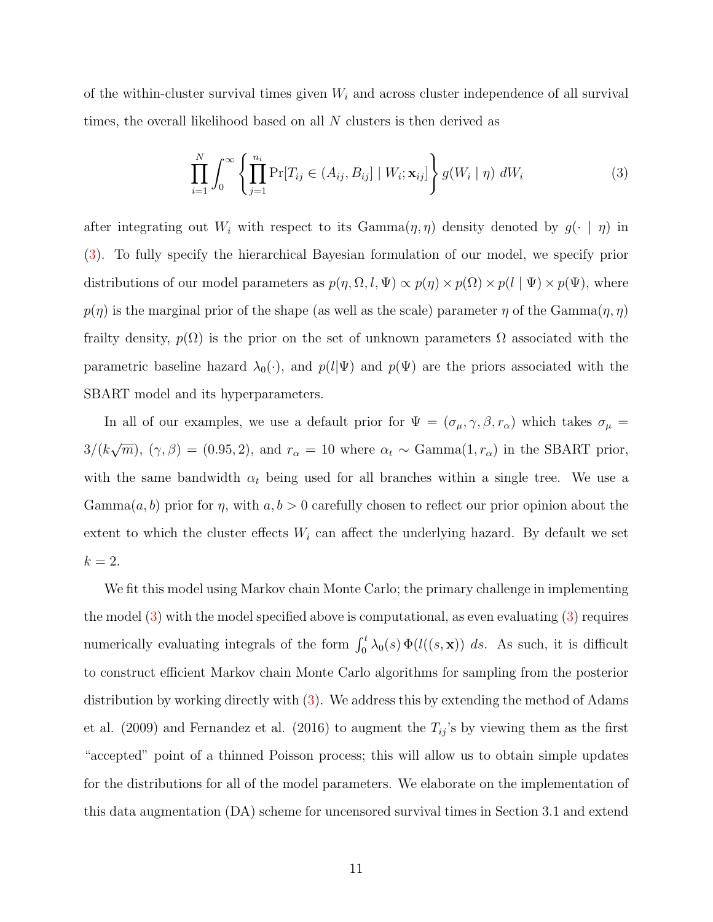of the within-cluster survival times given  $W_i$  and across cluster independence of all survival times, the overall likelihood based on all N clusters is then derived as

<span id="page-10-0"></span>
$$
\prod_{i=1}^{N} \int_{0}^{\infty} \left\{ \prod_{j=1}^{n_i} \Pr[T_{ij} \in (A_{ij}, B_{ij}] \mid W_i; \mathbf{x}_{ij}] \right\} g(W_i \mid \eta) dW_i \tag{3}
$$

after integrating out W<sub>i</sub> with respect to its Gamma $(\eta, \eta)$  density denoted by  $g(\cdot | \eta)$  in [\(3\)](#page-10-0). To fully specify the hierarchical Bayesian formulation of our model, we specify prior distributions of our model parameters as  $p(\eta, \Omega, l, \Psi) \propto p(\eta) \times p(\Omega) \times p(l | \Psi) \times p(\Psi)$ , where  $p(\eta)$  is the marginal prior of the shape (as well as the scale) parameter  $\eta$  of the Gamma $(\eta, \eta)$ frailty density,  $p(\Omega)$  is the prior on the set of unknown parameters  $\Omega$  associated with the parametric baseline hazard  $\lambda_0(\cdot)$ , and  $p(l|\Psi)$  and  $p(\Psi)$  are the priors associated with the SBART model and its hyperparameters.

In all of our examples, we use a default prior for  $\Psi = (\sigma_{\mu}, \gamma, \beta, r_{\alpha})$  which takes  $\sigma_{\mu} =$  $3/(k$ √  $\overline{m}$ ,  $(\gamma, \beta) = (0.95, 2)$ , and  $r_{\alpha} = 10$  where  $\alpha_t \sim \text{Gamma}(1, r_{\alpha})$  in the SBART prior, with the same bandwidth  $\alpha_t$  being used for all branches within a single tree. We use a  $Gamma(a, b)$  prior for  $\eta$ , with  $a, b > 0$  carefully chosen to reflect our prior opinion about the extent to which the cluster effects  $W_i$  can affect the underlying hazard. By default we set  $k=2.$ 

We fit this model using Markov chain Monte Carlo; the primary challenge in implementing the model [\(3\)](#page-10-0) with the model specified above is computational, as even evaluating [\(3\)](#page-10-0) requires numerically evaluating integrals of the form  $\int_0^t \lambda_0(s) \Phi(l((s, \mathbf{x})) ds$ . As such, it is difficult to construct efficient Markov chain Monte Carlo algorithms for sampling from the posterior distribution by working directly with [\(3\)](#page-10-0). We address this by extending the method of Adams et al. (2009) and Fernandez et al. (2016) to augment the  $T_{ij}$ 's by viewing them as the first "accepted" point of a thinned Poisson process; this will allow us to obtain simple updates for the distributions for all of the model parameters. We elaborate on the implementation of this data augmentation (DA) scheme for uncensored survival times in Section 3.1 and extend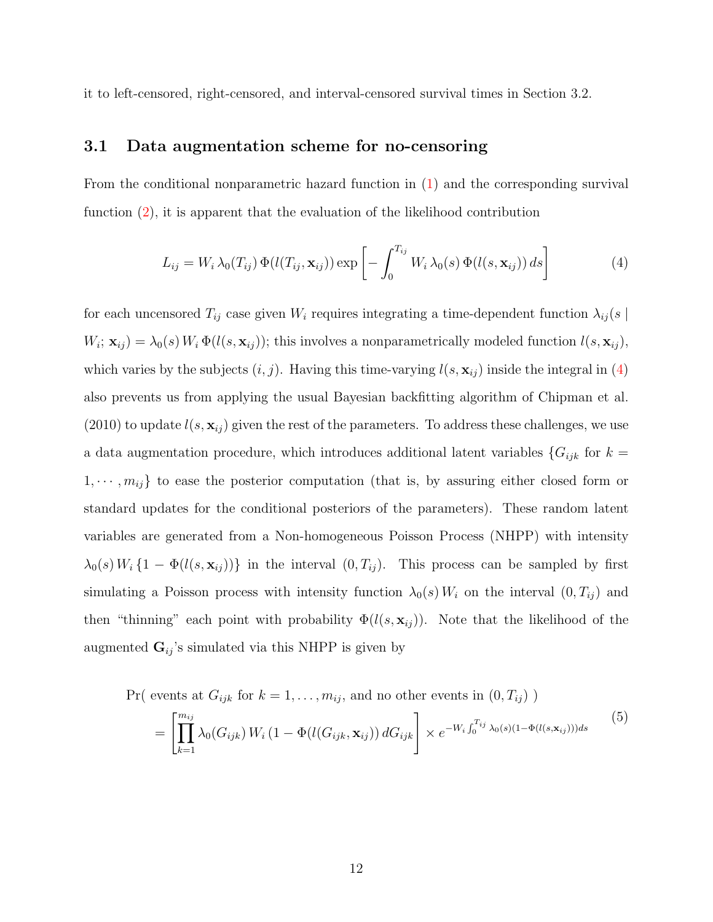it to left-censored, right-censored, and interval-censored survival times in Section 3.2.

#### 3.1 Data augmentation scheme for no-censoring

From the conditional nonparametric hazard function in [\(1\)](#page-8-0) and the corresponding survival function [\(2\)](#page-9-0), it is apparent that the evaluation of the likelihood contribution

<span id="page-11-0"></span>
$$
L_{ij} = W_i \lambda_0(T_{ij}) \Phi(l(T_{ij}, \mathbf{x}_{ij})) \exp\left[-\int_0^{T_{ij}} W_i \lambda_0(s) \Phi(l(s, \mathbf{x}_{ij})) ds\right]
$$
(4)

for each uncensored  $T_{ij}$  case given  $W_i$  requires integrating a time-dependent function  $\lambda_{ij}(s)$  $W_i; \mathbf{x}_{ij} = \lambda_0(s) W_i \Phi(l(s, \mathbf{x}_{ij}))$ ; this involves a nonparametrically modeled function  $l(s, \mathbf{x}_{ij})$ , which varies by the subjects  $(i, j)$ . Having this time-varying  $l(s, \mathbf{x}_{ij})$  inside the integral in [\(4\)](#page-11-0) also prevents us from applying the usual Bayesian backfitting algorithm of Chipman et al. (2010) to update  $l(s, x_{ij})$  given the rest of the parameters. To address these challenges, we use a data augmentation procedure, which introduces additional latent variables  ${G_{ijk}}$  for  $k =$  $1, \dots, m_{ij}$  to ease the posterior computation (that is, by assuring either closed form or standard updates for the conditional posteriors of the parameters). These random latent variables are generated from a Non-homogeneous Poisson Process (NHPP) with intensity  $\lambda_0(s) W_i \{1 - \Phi(l(s, \mathbf{x}_{ij}))\}$  in the interval  $(0, T_{ij})$ . This process can be sampled by first simulating a Poisson process with intensity function  $\lambda_0(s) W_i$  on the interval  $(0, T_{ij})$  and then "thinning" each point with probability  $\Phi(l(s, \mathbf{x}_{ij}))$ . Note that the likelihood of the augmented  $\mathbf{G}_{ij}$ 's simulated via this NHPP is given by

$$
\Pr(\text{ events at } G_{ijk} \text{ for } k = 1, ..., m_{ij}, \text{ and no other events in } (0, T_{ij}) )
$$
\n
$$
= \left[ \prod_{k=1}^{m_{ij}} \lambda_0(G_{ijk}) W_i (1 - \Phi(l(G_{ijk}, \mathbf{x}_{ij})) dG_{ijk} \right] \times e^{-W_i \int_0^{T_{ij}} \lambda_0(s) (1 - \Phi(l(s, \mathbf{x}_{ij}))) ds}
$$
\n
$$
(5)
$$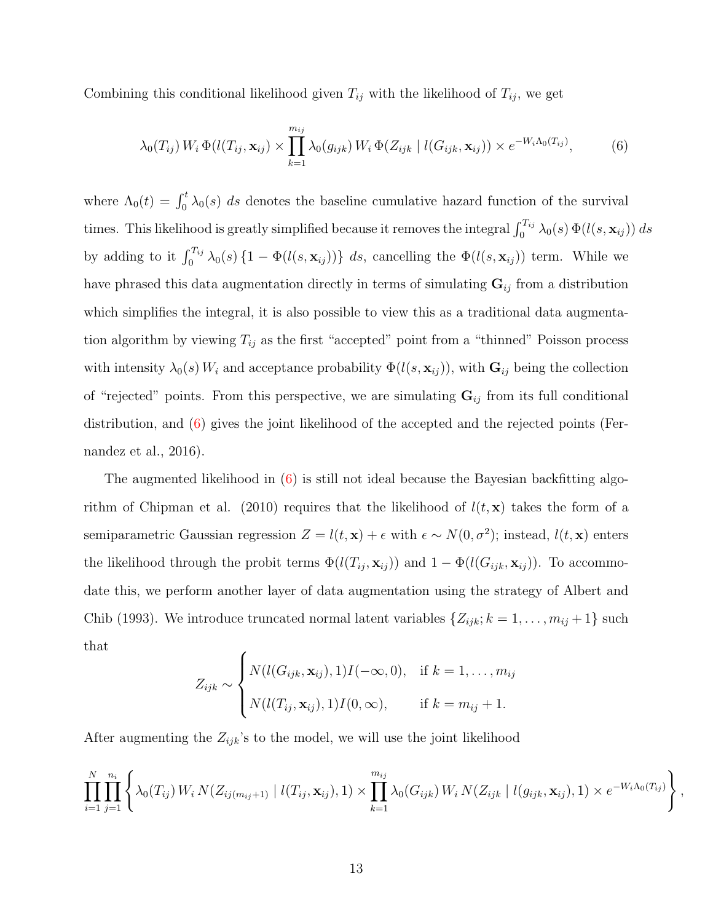Combining this conditional likelihood given  $T_{ij}$  with the likelihood of  $T_{ij}$ , we get

<span id="page-12-0"></span>
$$
\lambda_0(T_{ij}) W_i \Phi(l(T_{ij}, \mathbf{x}_{ij}) \times \prod_{k=1}^{m_{ij}} \lambda_0(g_{ijk}) W_i \Phi(Z_{ijk} \mid l(G_{ijk}, \mathbf{x}_{ij})) \times e^{-W_i \Lambda_0(T_{ij})}, \tag{6}
$$

where  $\Lambda_0(t) = \int_0^t \lambda_0(s) ds$  denotes the baseline cumulative hazard function of the survival times. This likelihood is greatly simplified because it removes the integral  $\int_0^{T_{ij}} \lambda_0(s) \Phi(l(s, \mathbf{x}_{ij})) ds$ by adding to it  $\int_0^{T_{ij}} \lambda_0(s) \{1 - \Phi(l(s, \mathbf{x}_{ij}))\} ds$ , cancelling the  $\Phi(l(s, \mathbf{x}_{ij}))$  term. While we have phrased this data augmentation directly in terms of simulating  $\mathbf{G}_{ij}$  from a distribution which simplifies the integral, it is also possible to view this as a traditional data augmentation algorithm by viewing  $T_{ij}$  as the first "accepted" point from a "thinned" Poisson process with intensity  $\lambda_0(s)$  W<sub>i</sub> and acceptance probability  $\Phi(l(s, \mathbf{x}_{ij}))$ , with  $\mathbf{G}_{ij}$  being the collection of "rejected" points. From this perspective, we are simulating  $G_{ij}$  from its full conditional distribution, and [\(6\)](#page-12-0) gives the joint likelihood of the accepted and the rejected points (Fernandez et al., 2016).

The augmented likelihood in [\(6\)](#page-12-0) is still not ideal because the Bayesian backfitting algorithm of Chipman et al. (2010) requires that the likelihood of  $l(t, x)$  takes the form of a semiparametric Gaussian regression  $Z = l(t, \mathbf{x}) + \epsilon$  with  $\epsilon \sim N(0, \sigma^2)$ ; instead,  $l(t, \mathbf{x})$  enters the likelihood through the probit terms  $\Phi(l(T_{ij}, \mathbf{x}_{ij}))$  and  $1 - \Phi(l(G_{ijk}, \mathbf{x}_{ij}))$ . To accommodate this, we perform another layer of data augmentation using the strategy of Albert and Chib (1993). We introduce truncated normal latent variables  $\{Z_{ijk}; k = 1, \ldots, m_{ij} + 1\}$  such that

$$
Z_{ijk} \sim \begin{cases} N(l(G_{ijk}, \mathbf{x}_{ij}), 1)I(-\infty, 0), & \text{if } k = 1, ..., m_{ij} \\ N(l(T_{ij}, \mathbf{x}_{ij}), 1)I(0, \infty), & \text{if } k = m_{ij} + 1. \end{cases}
$$

After augmenting the  $Z_{ijk}$ 's to the model, we will use the joint likelihood

$$
\prod_{i=1}^{N} \prod_{j=1}^{n_i} \left\{ \lambda_0(T_{ij}) \, W_i \, N(Z_{ij(m_{ij}+1)} \mid l(T_{ij}, \mathbf{x}_{ij}), 1) \times \prod_{k=1}^{m_{ij}} \lambda_0(G_{ijk}) \, W_i \, N(Z_{ijk} \mid l(g_{ijk}, \mathbf{x}_{ij}), 1) \times e^{-W_i \Lambda_0(T_{ij})} \right\}
$$

,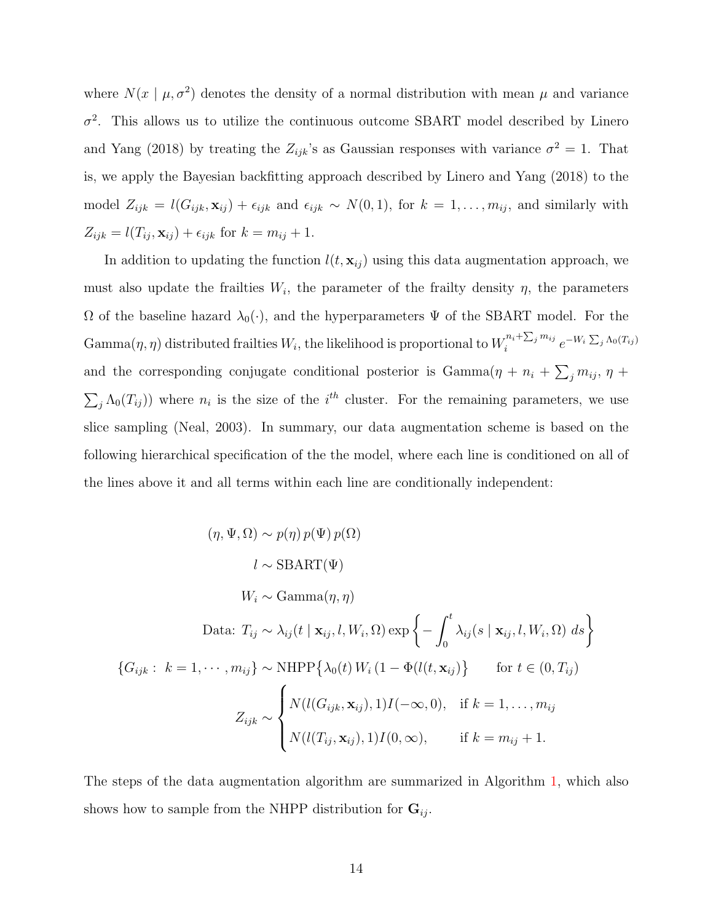where  $N(x \mid \mu, \sigma^2)$  denotes the density of a normal distribution with mean  $\mu$  and variance  $\sigma^2$ . This allows us to utilize the continuous outcome SBART model described by Linero and Yang (2018) by treating the  $Z_{ijk}$ 's as Gaussian responses with variance  $\sigma^2 = 1$ . That is, we apply the Bayesian backfitting approach described by Linero and Yang (2018) to the model  $Z_{ijk} = l(G_{ijk}, \mathbf{x}_{ij}) + \epsilon_{ijk}$  and  $\epsilon_{ijk} \sim N(0, 1)$ , for  $k = 1, ..., m_{ij}$ , and similarly with  $Z_{ijk} = l(T_{ij}, \mathbf{x}_{ij}) + \epsilon_{ijk}$  for  $k = m_{ij} + 1$ .

In addition to updating the function  $l(t, x_{ij})$  using this data augmentation approach, we must also update the frailties  $W_i$ , the parameter of the frailty density  $\eta$ , the parameters  $Ω$  of the baseline hazard  $λ_0(·)$ , and the hyperparameters  $Ψ$  of the SBART model. For the  $\operatorname{Gamma}(\eta,\eta)$  distributed frailties  $W_i,$  the likelihood is proportional to  $W_i^{n_i+\sum_j m_{ij}}$  $e^{-W_i \sum_j N_{0}(T_{ij})}$ and the corresponding conjugate conditional posterior is  $Gamma(\eta + n_i + \sum_j m_{ij}, \eta +$  $\sum_j \Lambda_0(T_{ij})$  where  $n_i$  is the size of the i<sup>th</sup> cluster. For the remaining parameters, we use slice sampling (Neal, 2003). In summary, our data augmentation scheme is based on the following hierarchical specification of the the model, where each line is conditioned on all of the lines above it and all terms within each line are conditionally independent:

$$
(\eta, \Psi, \Omega) \sim p(\eta) p(\Psi) p(\Omega)
$$
  
\n
$$
l \sim \text{SBART}(\Psi)
$$
  
\n
$$
W_i \sim \text{Gamma}(\eta, \eta)
$$
  
\nData:  $T_{ij} \sim \lambda_{ij}(t \mid \mathbf{x}_{ij}, l, W_i, \Omega) \exp\left\{-\int_0^t \lambda_{ij}(s \mid \mathbf{x}_{ij}, l, W_i, \Omega) ds\right\}$   
\n
$$
\{G_{ijk} : k = 1, \cdots, m_{ij}\} \sim \text{NHPP}\{\lambda_0(t) W_i (1 - \Phi(l(t, \mathbf{x}_{ij}))\} \quad \text{for } t \in (0, T_{ij})
$$
  
\n
$$
Z_{ijk} \sim \begin{cases} N(l(G_{ijk}, \mathbf{x}_{ij}), 1)I(-\infty, 0), & \text{if } k = 1, \dots, m_{ij} \\ N(l(T_{ij}, \mathbf{x}_{ij}), 1)I(0, \infty), & \text{if } k = m_{ij} + 1. \end{cases}
$$

The steps of the data augmentation algorithm are summarized in Algorithm [1,](#page-14-0) which also shows how to sample from the NHPP distribution for  $\mathbf{G}_{ij}$ .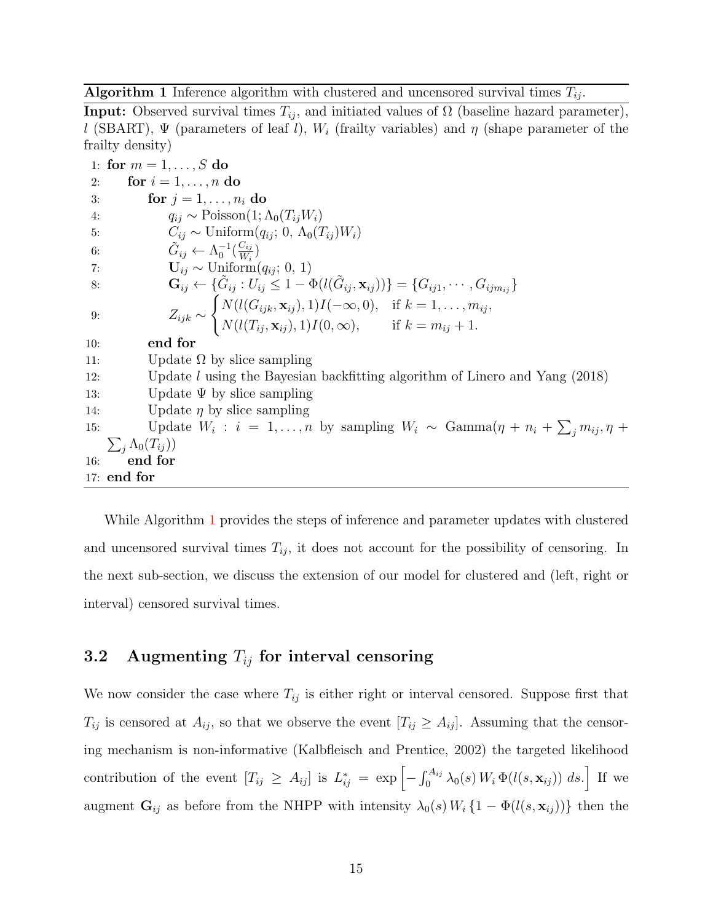<span id="page-14-0"></span>**Algorithm 1** Inference algorithm with clustered and uncensored survival times  $T_{ij}$ .

**Input:** Observed survival times  $T_{ij}$ , and initiated values of  $\Omega$  (baseline hazard parameter), l (SBART),  $\Psi$  (parameters of leaf l),  $W_i$  (frailty variables) and  $\eta$  (shape parameter of the frailty density)

1: for  $m = 1, ..., S$  do 2: for  $i = 1, \ldots, n$  do 3: for  $j = 1, \ldots, n_i$  do 4:  $q_{ij} \sim \text{Poisson}(1; \Lambda_0(T_{ij}W_i))$ 5:  $C_{ij} \sim \text{Uniform}(q_{ij}; 0, \Lambda_0(T_{ij})W_i)$ 6:  $\tilde{G}_{ij} \leftarrow \Lambda_0^{-1}(\frac{C_{ij}}{W_i})$  $\frac{U_{ij}}{W_i}$ 7:  $\mathbf{U}_{ij} \sim \text{Uniform}(q_{ij}; 0, 1)$ 8:  $\mathbf{G}_{ij} \leftarrow {\{\tilde{G}_{ij} : U_{ij} \leq 1 - \Phi(l(\tilde{G}_{ij}, \mathbf{x}_{ij}))\}} = {G_{ij1}, \cdots, G_{ijm_{ij}}\}$ 9:  $Z_{ijk} \sim$  $\int N(l(G_{ijk}, \mathbf{x}_{ij}), 1) I(-\infty, 0), \text{ if } k = 1, ..., m_{ij},$  $N(l(T_{ij}, \mathbf{x}_{ij}), 1)I(0, \infty), \quad \text{if } k = m_{ij} + 1.$ 10: end for 11: Update  $\Omega$  by slice sampling 12: Update l using the Bayesian backfitting algorithm of Linero and Yang (2018) 13: Update  $\Psi$  by slice sampling 14: Update  $\eta$  by slice sampling 15: Update  $W_i$ :  $i = 1, ..., n$  by sampling  $W_i \sim \text{Gamma}(\eta + n_i + \sum_j m_{ij}, \eta +$  $\sum_j \Lambda_0(T_{ij})$ 16: end for 17: end for

While Algorithm [1](#page-14-0) provides the steps of inference and parameter updates with clustered and uncensored survival times  $T_{ij}$ , it does not account for the possibility of censoring. In the next sub-section, we discuss the extension of our model for clustered and (left, right or interval) censored survival times.

#### 3.2 Augmenting  $T_{ij}$  for interval censoring

We now consider the case where  $T_{ij}$  is either right or interval censored. Suppose first that  $T_{ij}$  is censored at  $A_{ij}$ , so that we observe the event  $[T_{ij} \geq A_{ij}]$ . Assuming that the censoring mechanism is non-informative (Kalbfleisch and Prentice, 2002) the targeted likelihood contribution of the event  $[T_{ij} \geq A_{ij}]$  is  $L_{ij}^* = \exp \left[-\int_0^{A_{ij}} \lambda_0(s) W_i \Phi(l(s, \mathbf{x}_{ij})) ds.\right]$  If we augment  $\mathbf{G}_{ij}$  as before from the NHPP with intensity  $\lambda_0(s) W_i \{1 - \Phi(l(s, \mathbf{x}_{ij}))\}$  then the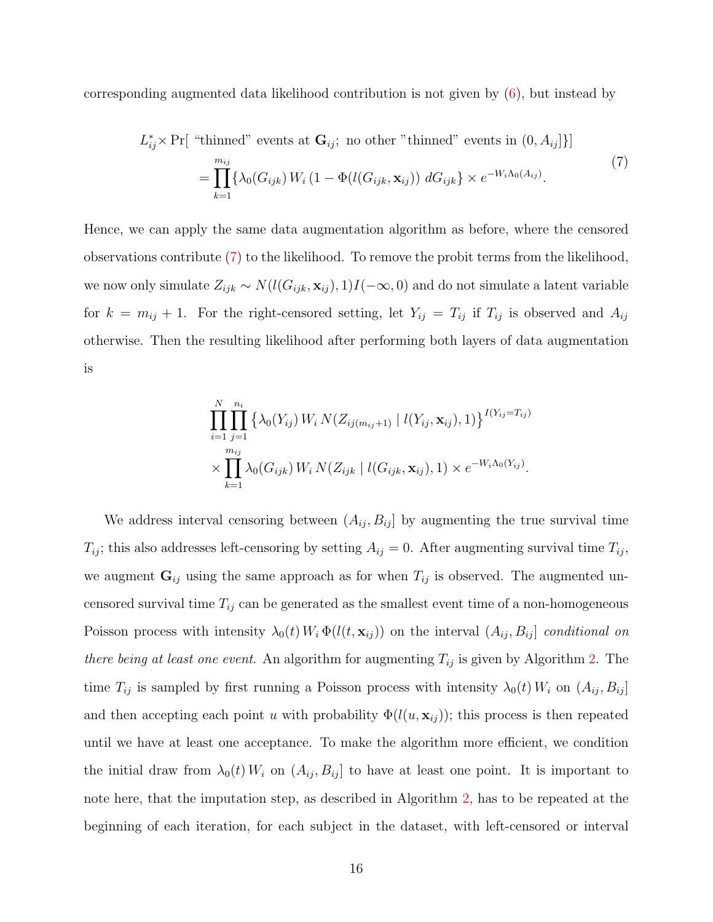corresponding augmented data likelihood contribution is not given by [\(6\)](#page-12-0), but instead by

 $L_i^*$ 

<span id="page-15-0"></span>
$$
{}_{ij}^{*} \times \Pr[\text{ "thinned" events at } \mathbf{G}_{ij}; \text{ no other "thinned" events in } (0, A_{ij}]\}]
$$
\n
$$
= \prod_{k=1}^{m_{ij}} \{ \lambda_0(G_{ijk}) W_i (1 - \Phi(l(G_{ijk}, \mathbf{x}_{ij})) dG_{ijk} \} \times e^{-W_i \Lambda_0(A_{ij})}.
$$
\n
$$
(7)
$$

Hence, we can apply the same data augmentation algorithm as before, where the censored observations contribute [\(7\)](#page-15-0) to the likelihood. To remove the probit terms from the likelihood, we now only simulate  $Z_{ijk} \sim N(l(G_{ijk}, \mathbf{x}_{ij}), 1)I(-\infty, 0)$  and do not simulate a latent variable for  $k = m_{ij} + 1$ . For the right-censored setting, let  $Y_{ij} = T_{ij}$  if  $T_{ij}$  is observed and  $A_{ij}$ otherwise. Then the resulting likelihood after performing both layers of data augmentation is

$$
\prod_{i=1}^{N} \prod_{j=1}^{n_i} \left\{ \lambda_0(Y_{ij}) \, W_i \, N(Z_{ij(m_{ij}+1)} \mid l(Y_{ij}, \mathbf{x}_{ij}), 1) \right\}^{I(Y_{ij}=T_{ij})} \times \prod_{k=1}^{m_{ij}} \lambda_0(G_{ijk}) \, W_i \, N(Z_{ijk} \mid l(G_{ijk}, \mathbf{x}_{ij}), 1) \times e^{-W_i \Lambda_0(Y_{ij})}.
$$

We address interval censoring between  $(A_{ij}, B_{ij}]$  by augmenting the true survival time  $T_{ij}$ ; this also addresses left-censoring by setting  $A_{ij} = 0$ . After augmenting survival time  $T_{ij}$ , we augment  $\mathbf{G}_{ij}$  using the same approach as for when  $T_{ij}$  is observed. The augmented uncensored survival time  $T_{ij}$  can be generated as the smallest event time of a non-homogeneous Poisson process with intensity  $\lambda_0(t) W_i \Phi(l(t, \mathbf{x}_{ij}))$  on the interval  $(A_{ij}, B_{ij}]$  conditional on there being at least one event. An algorithm for augmenting  $T_{ij}$  is given by Algorithm [2.](#page-16-0) The time  $T_{ij}$  is sampled by first running a Poisson process with intensity  $\lambda_0(t) W_i$  on  $(A_{ij}, B_{ij}]$ and then accepting each point u with probability  $\Phi(l(u, \mathbf{x}_{ij}))$ ; this process is then repeated until we have at least one acceptance. To make the algorithm more efficient, we condition the initial draw from  $\lambda_0(t) W_i$  on  $(A_{ij}, B_{ij}]$  to have at least one point. It is important to note here, that the imputation step, as described in Algorithm [2,](#page-16-0) has to be repeated at the beginning of each iteration, for each subject in the dataset, with left-censored or interval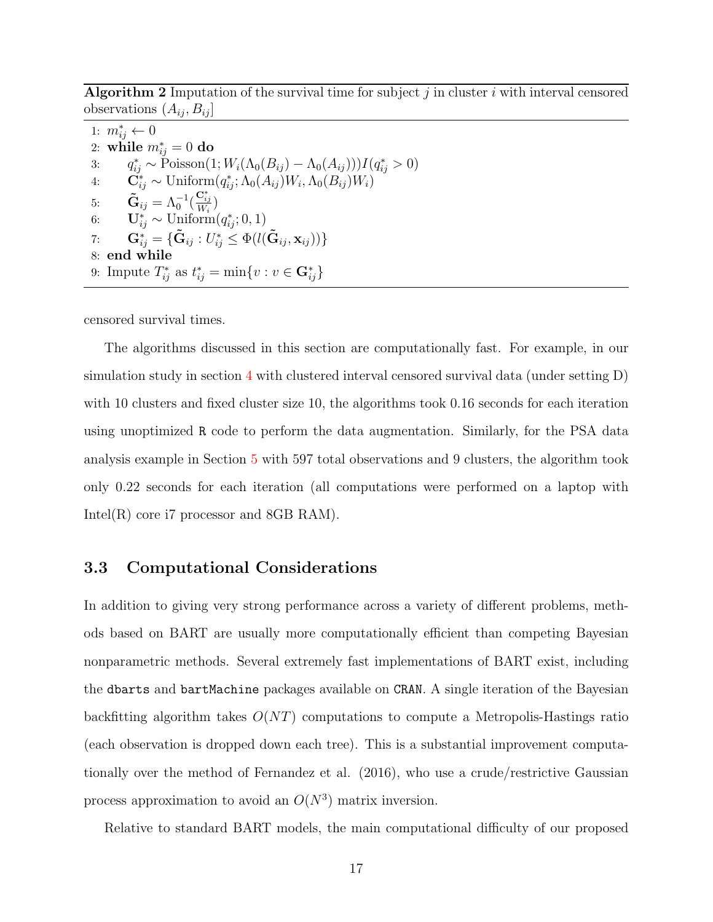<span id="page-16-0"></span>Algorithm 2 Imputation of the survival time for subject  $j$  in cluster  $i$  with interval censored observations  $(A_{ij}, B_{ij})$ 

1:  $m^*_{ij}$  ← 0 2: while  $m_{ij}^* = 0$  do 3:  $q_{ij}^* \sim \text{Poisson}(1; W_i(\Lambda_0(B_{ij}) - \Lambda_0(A_{ij}))) I(q_{ij}^* > 0)$ 4:  $\mathbf{C}_{ij}^* \sim \text{Uniform}(q_{ij}^*; \Lambda_0(A_{ij})W_i, \Lambda_0(B_{ij})W_i)$ 5:  $\tilde{\mathbf{G}}_{ij} = \Lambda_0^{-1}(\frac{\mathbf{C}^*_{ij}}{W_i})$ 6:  $\mathbf{U}_{ij}^* \sim \text{Uniform}(q_{ij}^*; 0, 1)$  $\mathbf{G}_{ij}^* = \{\mathbf{\tilde{G}}_{ij} : U_{ij}^* \leq \Phi(\mathit{l}(\mathbf{\tilde{G}}_{ij}, \mathbf{x}_{ij}))\}$ 8: end while 9: Impute  $T_{ij}^*$  as  $t_{ij}^* = \min\{v : v \in \mathbf{G}_{ij}^*\}$ 

censored survival times.

The algorithms discussed in this section are computationally fast. For example, in our simulation study in section [4](#page-18-0) with clustered interval censored survival data (under setting D) with 10 clusters and fixed cluster size 10, the algorithms took 0.16 seconds for each iteration using unoptimized R code to perform the data augmentation. Similarly, for the PSA data analysis example in Section [5](#page-21-0) with 597 total observations and 9 clusters, the algorithm took only 0.22 seconds for each iteration (all computations were performed on a laptop with Intel(R) core i7 processor and 8GB RAM).

#### 3.3 Computational Considerations

In addition to giving very strong performance across a variety of different problems, methods based on BART are usually more computationally efficient than competing Bayesian nonparametric methods. Several extremely fast implementations of BART exist, including the dbarts and bartMachine packages available on CRAN. A single iteration of the Bayesian backfitting algorithm takes  $O(NT)$  computations to compute a Metropolis-Hastings ratio (each observation is dropped down each tree). This is a substantial improvement computationally over the method of Fernandez et al. (2016), who use a crude/restrictive Gaussian process approximation to avoid an  $O(N^3)$  matrix inversion.

Relative to standard BART models, the main computational difficulty of our proposed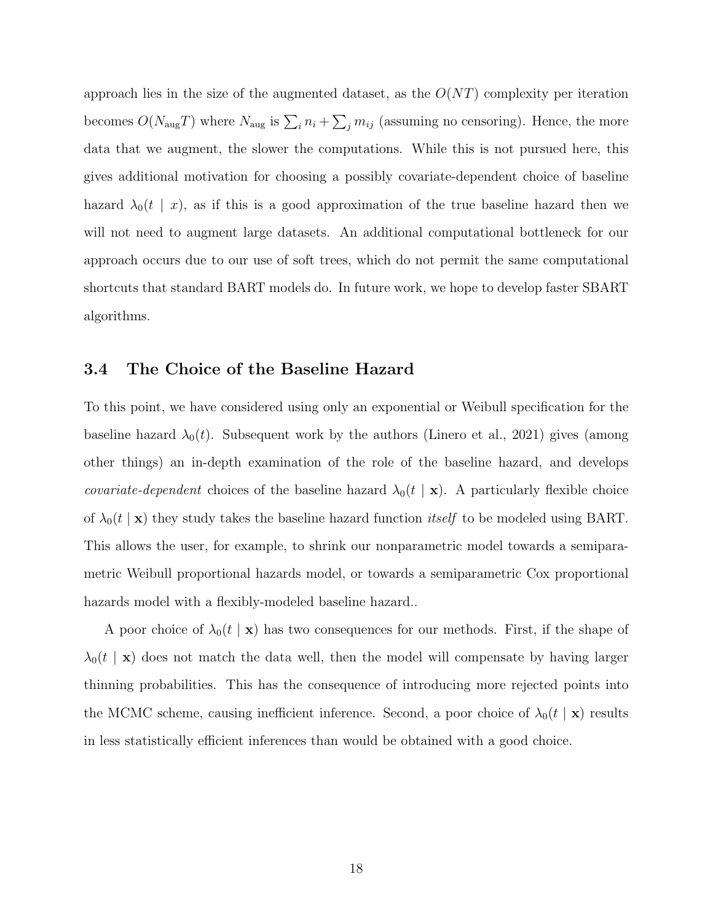approach lies in the size of the augmented dataset, as the  $O(NT)$  complexity per iteration becomes  $O(N_{\text{aug}}T)$  where  $N_{\text{aug}}$  is  $\sum_i n_i + \sum_j m_{ij}$  (assuming no censoring). Hence, the more data that we augment, the slower the computations. While this is not pursued here, this gives additional motivation for choosing a possibly covariate-dependent choice of baseline hazard  $\lambda_0(t \mid x)$ , as if this is a good approximation of the true baseline hazard then we will not need to augment large datasets. An additional computational bottleneck for our approach occurs due to our use of soft trees, which do not permit the same computational shortcuts that standard BART models do. In future work, we hope to develop faster SBART algorithms.

#### 3.4 The Choice of the Baseline Hazard

To this point, we have considered using only an exponential or Weibull specification for the baseline hazard  $\lambda_0(t)$ . Subsequent work by the authors (Linero et al., 2021) gives (among other things) an in-depth examination of the role of the baseline hazard, and develops *covariate-dependent* choices of the baseline hazard  $\lambda_0(t | \mathbf{x})$ . A particularly flexible choice of  $\lambda_0(t \mid \mathbf{x})$  they study takes the baseline hazard function *itself* to be modeled using BART. This allows the user, for example, to shrink our nonparametric model towards a semiparametric Weibull proportional hazards model, or towards a semiparametric Cox proportional hazards model with a flexibly-modeled baseline hazard...

A poor choice of  $\lambda_0(t \mid \mathbf{x})$  has two consequences for our methods. First, if the shape of  $\lambda_0(t \mid \mathbf{x})$  does not match the data well, then the model will compensate by having larger thinning probabilities. This has the consequence of introducing more rejected points into the MCMC scheme, causing inefficient inference. Second, a poor choice of  $\lambda_0(t \mid \mathbf{x})$  results in less statistically efficient inferences than would be obtained with a good choice.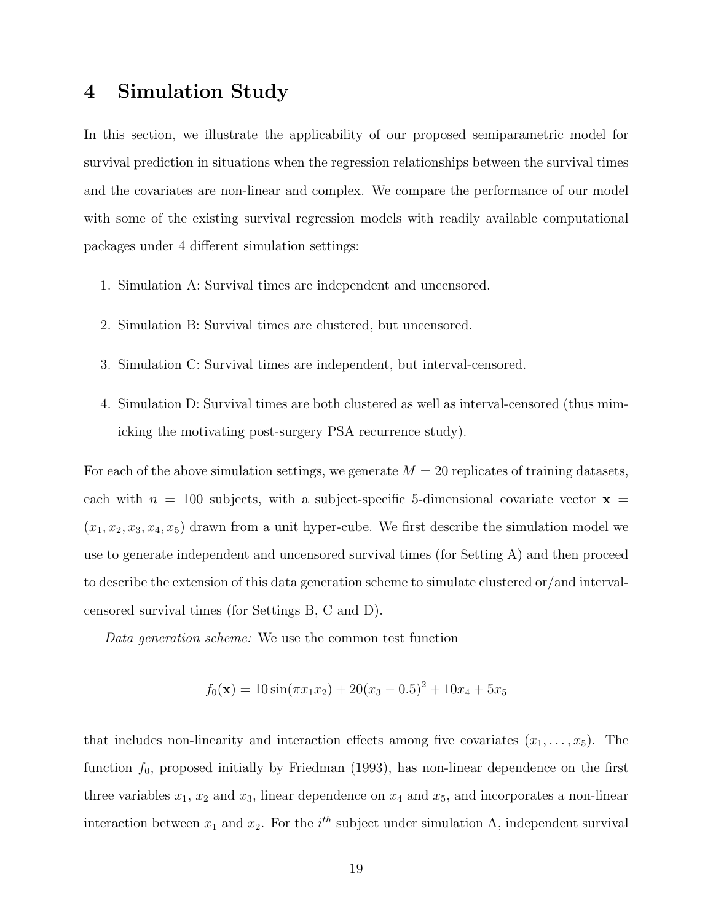### <span id="page-18-0"></span>4 Simulation Study

In this section, we illustrate the applicability of our proposed semiparametric model for survival prediction in situations when the regression relationships between the survival times and the covariates are non-linear and complex. We compare the performance of our model with some of the existing survival regression models with readily available computational packages under 4 different simulation settings:

- 1. Simulation A: Survival times are independent and uncensored.
- 2. Simulation B: Survival times are clustered, but uncensored.
- 3. Simulation C: Survival times are independent, but interval-censored.
- 4. Simulation D: Survival times are both clustered as well as interval-censored (thus mimicking the motivating post-surgery PSA recurrence study).

For each of the above simulation settings, we generate  $M = 20$  replicates of training datasets, each with  $n = 100$  subjects, with a subject-specific 5-dimensional covariate vector  $x =$  $(x_1, x_2, x_3, x_4, x_5)$  drawn from a unit hyper-cube. We first describe the simulation model we use to generate independent and uncensored survival times (for Setting A) and then proceed to describe the extension of this data generation scheme to simulate clustered or/and intervalcensored survival times (for Settings B, C and D).

Data generation scheme: We use the common test function

$$
f_0(\mathbf{x}) = 10\sin(\pi x_1 x_2) + 20(x_3 - 0.5)^2 + 10x_4 + 5x_5
$$

that includes non-linearity and interaction effects among five covariates  $(x_1, \ldots, x_5)$ . The function  $f_0$ , proposed initially by Friedman (1993), has non-linear dependence on the first three variables  $x_1, x_2$  and  $x_3$ , linear dependence on  $x_4$  and  $x_5$ , and incorporates a non-linear interaction between  $x_1$  and  $x_2$ . For the  $i<sup>th</sup>$  subject under simulation A, independent survival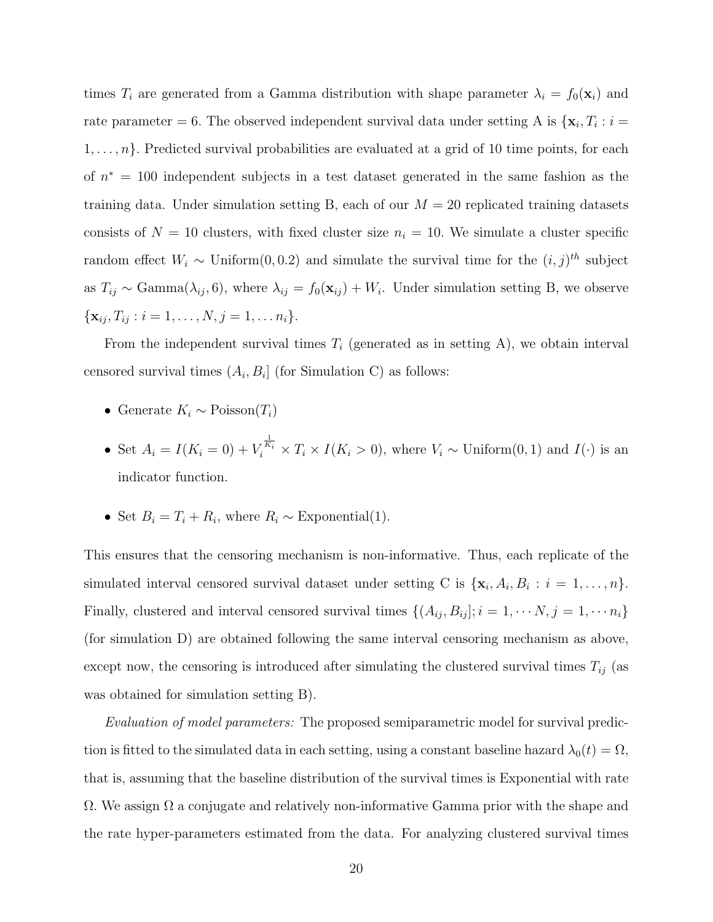times  $T_i$  are generated from a Gamma distribution with shape parameter  $\lambda_i = f_0(\mathbf{x}_i)$  and rate parameter = 6. The observed independent survival data under setting A is  $\{x_i, T_i : i =$  $1, \ldots, n$ . Predicted survival probabilities are evaluated at a grid of 10 time points, for each of  $n^* = 100$  independent subjects in a test dataset generated in the same fashion as the training data. Under simulation setting B, each of our  $M = 20$  replicated training datasets consists of  $N = 10$  clusters, with fixed cluster size  $n<sub>i</sub> = 10$ . We simulate a cluster specific random effect  $W_i \sim$  Uniform $(0, 0.2)$  and simulate the survival time for the  $(i, j)$ <sup>th</sup> subject as  $T_{ij} \sim \text{Gamma}(\lambda_{ij}, 6)$ , where  $\lambda_{ij} = f_0(\mathbf{x}_{ij}) + W_i$ . Under simulation setting B, we observe  $\{\mathbf x_{ij}, T_{ij} : i = 1, \ldots, N, j = 1, \ldots n_i\}.$ 

From the independent survival times  $T_i$  (generated as in setting A), we obtain interval censored survival times  $(A_i, B_i]$  (for Simulation C) as follows:

- Generate  $K_i \sim \text{Poisson}(T_i)$
- Set  $A_i = I(K_i = 0) + V_i^{\frac{1}{K_i}} \times T_i \times I(K_i > 0)$ , where  $V_i \sim$  Uniform $(0, 1)$  and  $I(\cdot)$  is an indicator function.
- Set  $B_i = T_i + R_i$ , where  $R_i \sim$  Exponential(1).

This ensures that the censoring mechanism is non-informative. Thus, each replicate of the simulated interval censored survival dataset under setting C is  $\{\mathbf x_i, A_i, B_i : i = 1, \ldots, n\}.$ Finally, clustered and interval censored survival times  $\{(A_{ij}, B_{ij}]; i = 1, \cdots N, j = 1, \cdots n_i\}$ (for simulation D) are obtained following the same interval censoring mechanism as above, except now, the censoring is introduced after simulating the clustered survival times  $T_{ij}$  (as was obtained for simulation setting B).

Evaluation of model parameters: The proposed semiparametric model for survival prediction is fitted to the simulated data in each setting, using a constant baseline hazard  $\lambda_0(t) = \Omega$ , that is, assuming that the baseline distribution of the survival times is Exponential with rate  $\Omega$ . We assign  $\Omega$  a conjugate and relatively non-informative Gamma prior with the shape and the rate hyper-parameters estimated from the data. For analyzing clustered survival times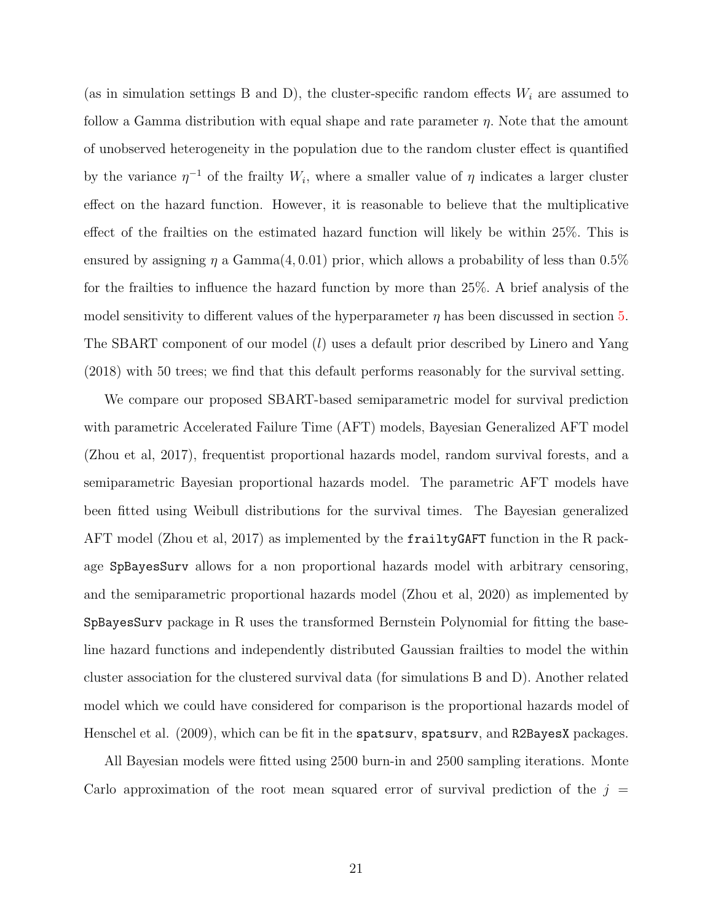(as in simulation settings B and D), the cluster-specific random effects  $W_i$  are assumed to follow a Gamma distribution with equal shape and rate parameter  $\eta$ . Note that the amount of unobserved heterogeneity in the population due to the random cluster effect is quantified by the variance  $\eta^{-1}$  of the frailty  $W_i$ , where a smaller value of  $\eta$  indicates a larger cluster effect on the hazard function. However, it is reasonable to believe that the multiplicative effect of the frailties on the estimated hazard function will likely be within 25%. This is ensured by assigning  $\eta$  a Gamma $(4, 0.01)$  prior, which allows a probability of less than 0.5% for the frailties to influence the hazard function by more than 25%. A brief analysis of the model sensitivity to different values of the hyperparameter  $\eta$  has been discussed in section [5.](#page-21-0) The SBART component of our model (*l*) uses a default prior described by Linero and Yang (2018) with 50 trees; we find that this default performs reasonably for the survival setting.

We compare our proposed SBART-based semiparametric model for survival prediction with parametric Accelerated Failure Time (AFT) models, Bayesian Generalized AFT model (Zhou et al, 2017), frequentist proportional hazards model, random survival forests, and a semiparametric Bayesian proportional hazards model. The parametric AFT models have been fitted using Weibull distributions for the survival times. The Bayesian generalized AFT model (Zhou et al, 2017) as implemented by the frailtyGAFT function in the R package SpBayesSurv allows for a non proportional hazards model with arbitrary censoring, and the semiparametric proportional hazards model (Zhou et al, 2020) as implemented by SpBayesSurv package in R uses the transformed Bernstein Polynomial for fitting the baseline hazard functions and independently distributed Gaussian frailties to model the within cluster association for the clustered survival data (for simulations B and D). Another related model which we could have considered for comparison is the proportional hazards model of Henschel et al. (2009), which can be fit in the spatsurv, spatsurv, and R2BayesX packages.

All Bayesian models were fitted using 2500 burn-in and 2500 sampling iterations. Monte Carlo approximation of the root mean squared error of survival prediction of the  $j =$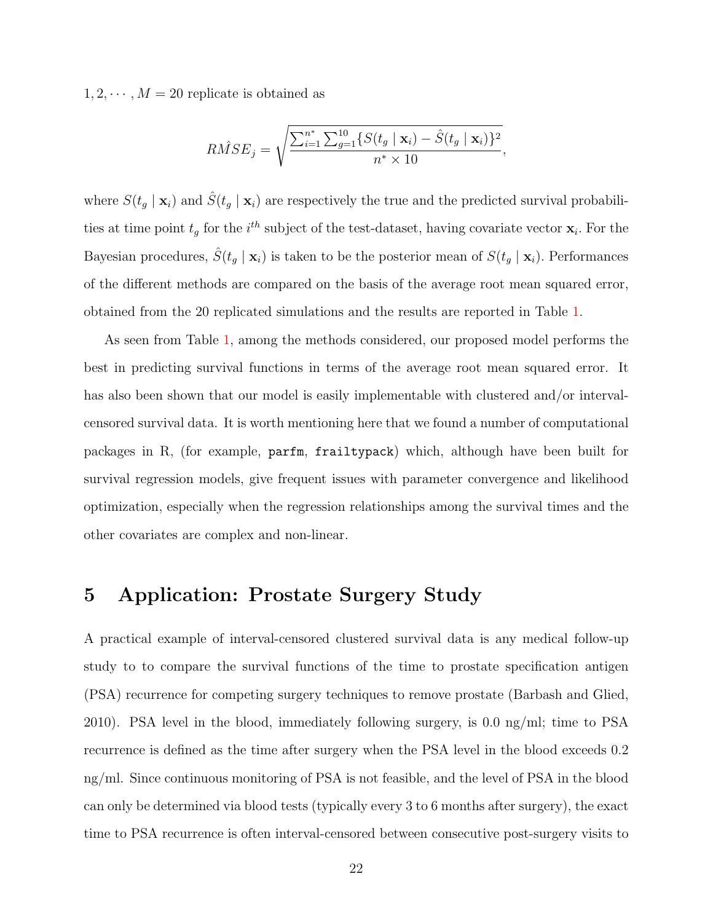$1, 2, \dots, M = 20$  replicate is obtained as

$$
R\hat{M}SE_j = \sqrt{\frac{\sum_{i=1}^{n^*} \sum_{g=1}^{10} \{S(t_g \mid \mathbf{x}_i) - \hat{S}(t_g \mid \mathbf{x}_i)\}^2}{n^* \times 10}},
$$

where  $S(t_g | \mathbf{x}_i)$  and  $\hat{S}(t_g | \mathbf{x}_i)$  are respectively the true and the predicted survival probabilities at time point  $t_g$  for the i<sup>th</sup> subject of the test-dataset, having covariate vector  $\mathbf{x}_i$ . For the Bayesian procedures,  $\hat{S}(t_g | \mathbf{x}_i)$  is taken to be the posterior mean of  $S(t_g | \mathbf{x}_i)$ . Performances of the different methods are compared on the basis of the average root mean squared error, obtained from the 20 replicated simulations and the results are reported in Table [1.](#page-22-0)

As seen from Table [1,](#page-22-0) among the methods considered, our proposed model performs the best in predicting survival functions in terms of the average root mean squared error. It has also been shown that our model is easily implementable with clustered and/or intervalcensored survival data. It is worth mentioning here that we found a number of computational packages in R, (for example, parfm, frailtypack) which, although have been built for survival regression models, give frequent issues with parameter convergence and likelihood optimization, especially when the regression relationships among the survival times and the other covariates are complex and non-linear.

## <span id="page-21-0"></span>5 Application: Prostate Surgery Study

A practical example of interval-censored clustered survival data is any medical follow-up study to to compare the survival functions of the time to prostate specification antigen (PSA) recurrence for competing surgery techniques to remove prostate (Barbash and Glied, 2010). PSA level in the blood, immediately following surgery, is 0.0 ng/ml; time to PSA recurrence is defined as the time after surgery when the PSA level in the blood exceeds 0.2 ng/ml. Since continuous monitoring of PSA is not feasible, and the level of PSA in the blood can only be determined via blood tests (typically every 3 to 6 months after surgery), the exact time to PSA recurrence is often interval-censored between consecutive post-surgery visits to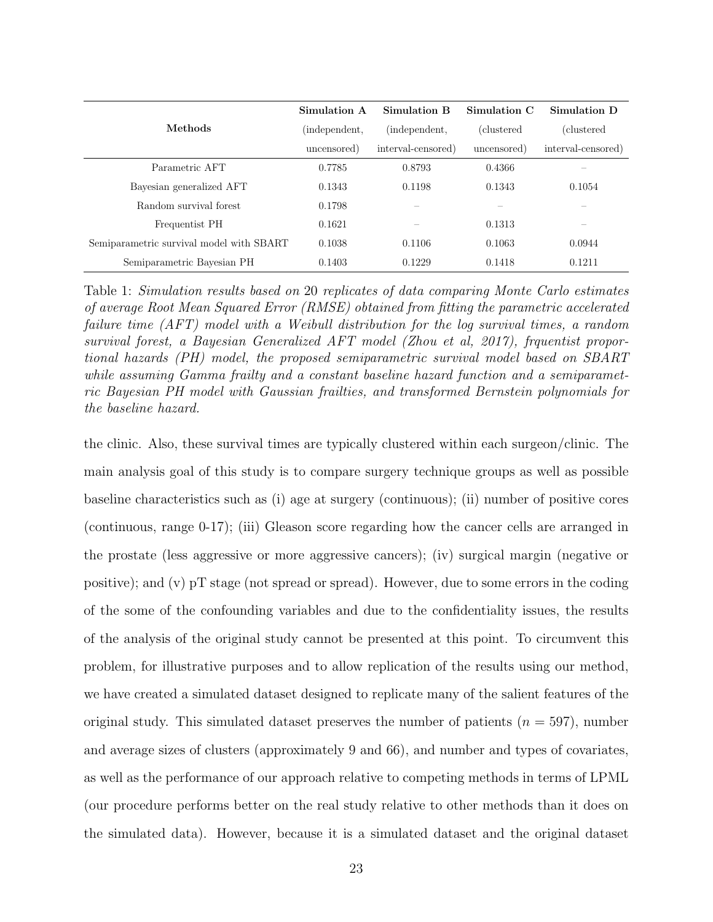<span id="page-22-0"></span>

|                                          | Simulation A  | <b>Simulation B</b> | Simulation C       | Simulation D       |
|------------------------------------------|---------------|---------------------|--------------------|--------------------|
| Methods                                  | (independent, | (independent,       | <i>(clustered)</i> | (clustered         |
|                                          | uncensored)   | interval-censored)  | uncensored)        | interval-censored) |
| Parametric AFT                           | 0.7785        | 0.8793              | 0.4366             |                    |
| Bayesian generalized AFT                 | 0.1343        | 0.1198              | 0.1343             | 0.1054             |
| Random survival forest                   | 0.1798        |                     |                    |                    |
| Frequentist PH                           | 0.1621        |                     | 0.1313             |                    |
| Semiparametric survival model with SBART | 0.1038        | 0.1106              | 0.1063             | 0.0944             |
| Semiparametric Bayesian PH               | 0.1403        | 0.1229              | 0.1418             | 0.1211             |

Table 1: Simulation results based on 20 replicates of data comparing Monte Carlo estimates of average Root Mean Squared Error (RMSE) obtained from fitting the parametric accelerated failure time (AFT) model with a Weibull distribution for the log survival times, a random survival forest, a Bayesian Generalized AFT model (Zhou et al, 2017), frquentist proportional hazards (PH) model, the proposed semiparametric survival model based on SBART while assuming Gamma frailty and a constant baseline hazard function and a semiparametric Bayesian PH model with Gaussian frailties, and transformed Bernstein polynomials for the baseline hazard.

the clinic. Also, these survival times are typically clustered within each surgeon/clinic. The main analysis goal of this study is to compare surgery technique groups as well as possible baseline characteristics such as (i) age at surgery (continuous); (ii) number of positive cores (continuous, range 0-17); (iii) Gleason score regarding how the cancer cells are arranged in the prostate (less aggressive or more aggressive cancers); (iv) surgical margin (negative or positive); and (v) pT stage (not spread or spread). However, due to some errors in the coding of the some of the confounding variables and due to the confidentiality issues, the results of the analysis of the original study cannot be presented at this point. To circumvent this problem, for illustrative purposes and to allow replication of the results using our method, we have created a simulated dataset designed to replicate many of the salient features of the original study. This simulated dataset preserves the number of patients  $(n = 597)$ , number and average sizes of clusters (approximately 9 and 66), and number and types of covariates, as well as the performance of our approach relative to competing methods in terms of LPML (our procedure performs better on the real study relative to other methods than it does on the simulated data). However, because it is a simulated dataset and the original dataset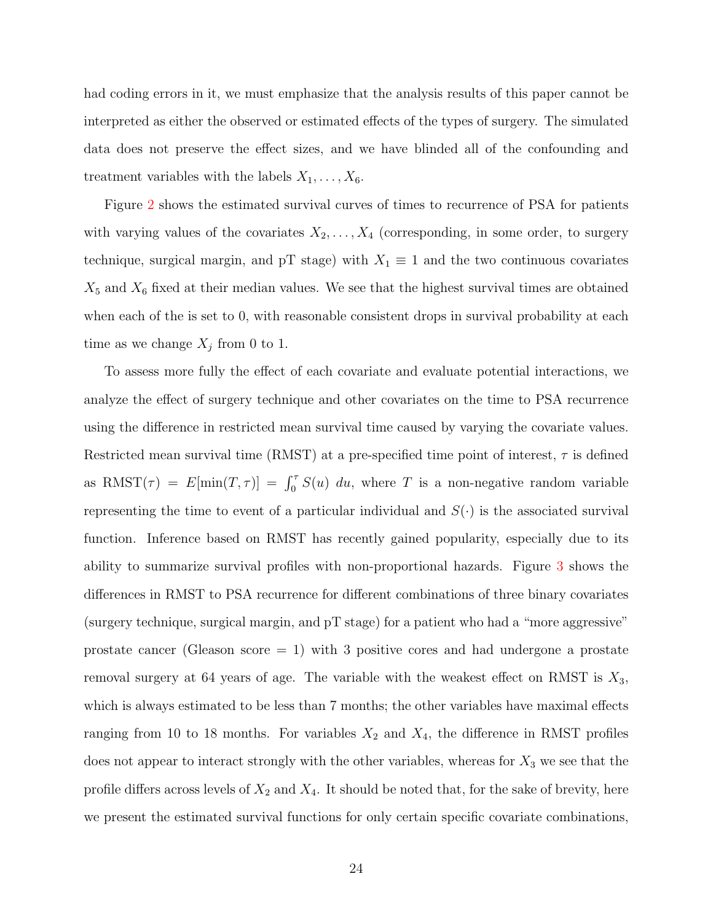had coding errors in it, we must emphasize that the analysis results of this paper cannot be interpreted as either the observed or estimated effects of the types of surgery. The simulated data does not preserve the effect sizes, and we have blinded all of the confounding and treatment variables with the labels  $X_1, \ldots, X_6$ .

Figure [2](#page-25-0) shows the estimated survival curves of times to recurrence of PSA for patients with varying values of the covariates  $X_2, \ldots, X_4$  (corresponding, in some order, to surgery technique, surgical margin, and pT stage) with  $X_1 \equiv 1$  and the two continuous covariates  $X_5$  and  $X_6$  fixed at their median values. We see that the highest survival times are obtained when each of the is set to 0, with reasonable consistent drops in survival probability at each time as we change  $X_j$  from 0 to 1.

To assess more fully the effect of each covariate and evaluate potential interactions, we analyze the effect of surgery technique and other covariates on the time to PSA recurrence using the difference in restricted mean survival time caused by varying the covariate values. Restricted mean survival time (RMST) at a pre-specified time point of interest,  $\tau$  is defined as RMST( $\tau$ ) =  $E[\min(T, \tau)] = \int_0^{\tau} S(u) du$ , where T is a non-negative random variable representing the time to event of a particular individual and  $S(\cdot)$  is the associated survival function. Inference based on RMST has recently gained popularity, especially due to its ability to summarize survival profiles with non-proportional hazards. Figure [3](#page-26-0) shows the differences in RMST to PSA recurrence for different combinations of three binary covariates (surgery technique, surgical margin, and pT stage) for a patient who had a "more aggressive" prostate cancer (Gleason score  $= 1$ ) with 3 positive cores and had undergone a prostate removal surgery at 64 years of age. The variable with the weakest effect on RMST is  $X_3$ , which is always estimated to be less than 7 months; the other variables have maximal effects ranging from 10 to 18 months. For variables  $X_2$  and  $X_4$ , the difference in RMST profiles does not appear to interact strongly with the other variables, whereas for  $X_3$  we see that the profile differs across levels of  $X_2$  and  $X_4$ . It should be noted that, for the sake of brevity, here we present the estimated survival functions for only certain specific covariate combinations,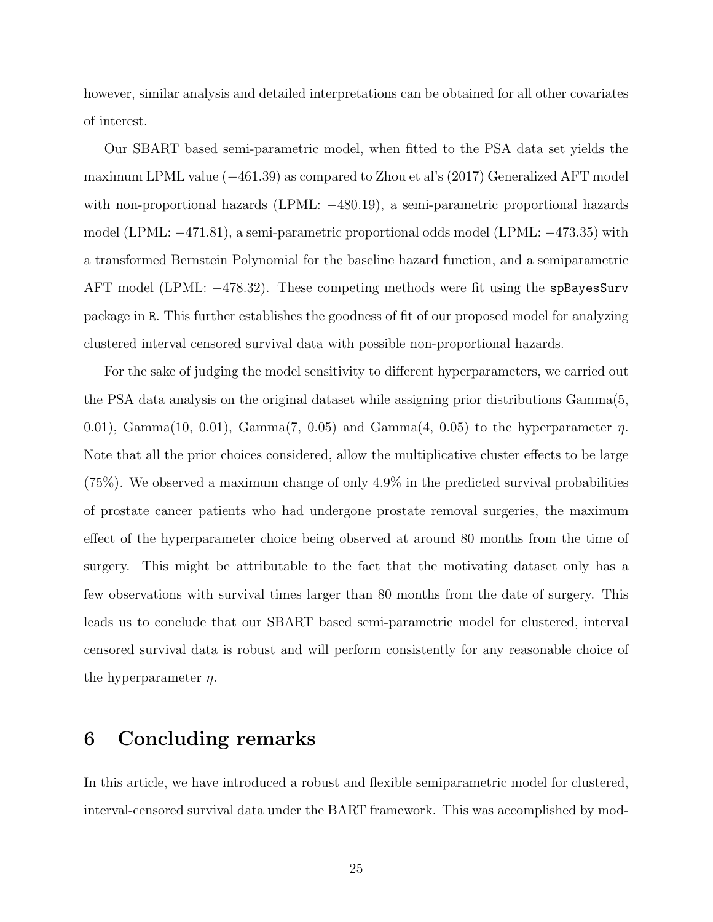however, similar analysis and detailed interpretations can be obtained for all other covariates of interest.

Our SBART based semi-parametric model, when fitted to the PSA data set yields the maximum LPML value (−461.39) as compared to Zhou et al's (2017) Generalized AFT model with non-proportional hazards (LPML: −480.19), a semi-parametric proportional hazards model (LPML: −471.81), a semi-parametric proportional odds model (LPML: −473.35) with a transformed Bernstein Polynomial for the baseline hazard function, and a semiparametric AFT model (LPML: −478.32). These competing methods were fit using the spBayesSurv package in R. This further establishes the goodness of fit of our proposed model for analyzing clustered interval censored survival data with possible non-proportional hazards.

For the sake of judging the model sensitivity to different hyperparameters, we carried out the PSA data analysis on the original dataset while assigning prior distributions Gamma(5, 0.01), Gamma(10, 0.01), Gamma(7, 0.05) and Gamma(4, 0.05) to the hyperparameter  $\eta$ . Note that all the prior choices considered, allow the multiplicative cluster effects to be large (75%). We observed a maximum change of only 4.9% in the predicted survival probabilities of prostate cancer patients who had undergone prostate removal surgeries, the maximum effect of the hyperparameter choice being observed at around 80 months from the time of surgery. This might be attributable to the fact that the motivating dataset only has a few observations with survival times larger than 80 months from the date of surgery. This leads us to conclude that our SBART based semi-parametric model for clustered, interval censored survival data is robust and will perform consistently for any reasonable choice of the hyperparameter  $\eta$ .

### 6 Concluding remarks

In this article, we have introduced a robust and flexible semiparametric model for clustered, interval-censored survival data under the BART framework. This was accomplished by mod-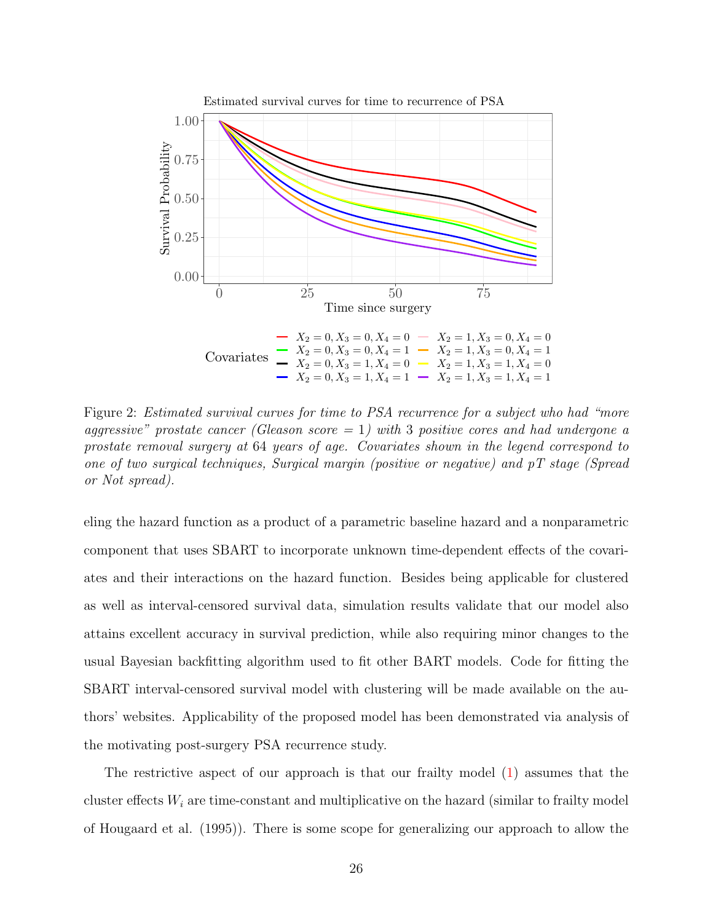<span id="page-25-0"></span>

Figure 2: Estimated survival curves for time to PSA recurrence for a subject who had "more aggressive" prostate cancer (Gleason score  $= 1$ ) with 3 positive cores and had undergone a prostate removal surgery at 64 years of age. Covariates shown in the legend correspond to one of two surgical techniques, Surgical margin (positive or negative) and pT stage (Spread or Not spread).

eling the hazard function as a product of a parametric baseline hazard and a nonparametric component that uses SBART to incorporate unknown time-dependent effects of the covariates and their interactions on the hazard function. Besides being applicable for clustered as well as interval-censored survival data, simulation results validate that our model also attains excellent accuracy in survival prediction, while also requiring minor changes to the usual Bayesian backfitting algorithm used to fit other BART models. Code for fitting the SBART interval-censored survival model with clustering will be made available on the authors' websites. Applicability of the proposed model has been demonstrated via analysis of the motivating post-surgery PSA recurrence study.

The restrictive aspect of our approach is that our frailty model [\(1\)](#page-8-0) assumes that the cluster effects  $W_i$  are time-constant and multiplicative on the hazard (similar to frailty model of Hougaard et al. (1995)). There is some scope for generalizing our approach to allow the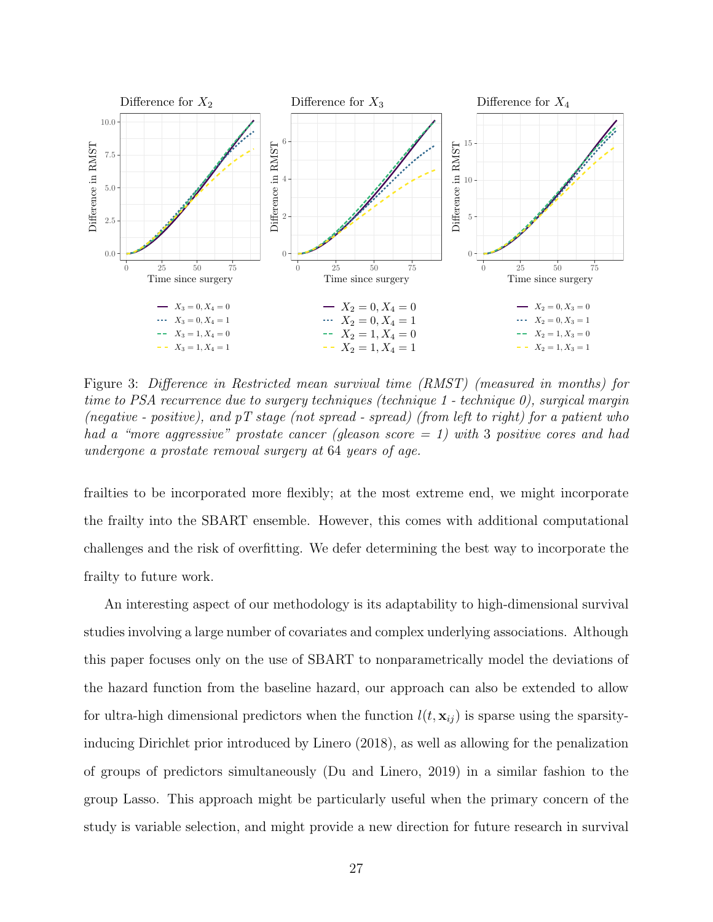<span id="page-26-0"></span>

Figure 3: Difference in Restricted mean survival time (RMST) (measured in months) for time to PSA recurrence due to surgery techniques (technique 1 - technique 0), surgical margin (negative - positive), and  $pT$  stage (not spread - spread) (from left to right) for a patient who had a "more aggressive" prostate cancer (gleason score  $= 1$ ) with 3 positive cores and had undergone a prostate removal surgery at 64 years of age.

frailties to be incorporated more flexibly; at the most extreme end, we might incorporate the frailty into the SBART ensemble. However, this comes with additional computational challenges and the risk of overfitting. We defer determining the best way to incorporate the frailty to future work.

An interesting aspect of our methodology is its adaptability to high-dimensional survival studies involving a large number of covariates and complex underlying associations. Although this paper focuses only on the use of SBART to nonparametrically model the deviations of the hazard function from the baseline hazard, our approach can also be extended to allow for ultra-high dimensional predictors when the function  $l(t, x_{ij})$  is sparse using the sparsityinducing Dirichlet prior introduced by Linero (2018), as well as allowing for the penalization of groups of predictors simultaneously (Du and Linero, 2019) in a similar fashion to the group Lasso. This approach might be particularly useful when the primary concern of the study is variable selection, and might provide a new direction for future research in survival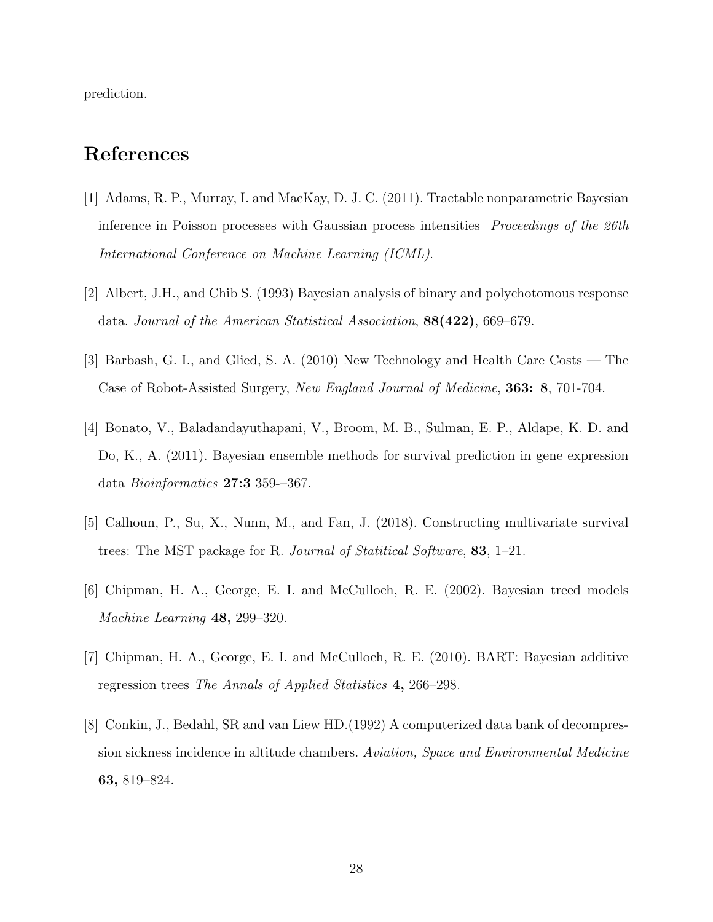prediction.

# References

- [1] Adams, R. P., Murray, I. and MacKay, D. J. C. (2011). Tractable nonparametric Bayesian inference in Poisson processes with Gaussian process intensities *Proceedings of the 26th* International Conference on Machine Learning (ICML).
- [2] Albert, J.H., and Chib S. (1993) Bayesian analysis of binary and polychotomous response data. Journal of the American Statistical Association, 88(422), 669–679.
- [3] Barbash, G. I., and Glied, S. A. (2010) New Technology and Health Care Costs The Case of Robot-Assisted Surgery, New England Journal of Medicine, 363: 8, 701-704.
- [4] Bonato, V., Baladandayuthapani, V., Broom, M. B., Sulman, E. P., Aldape, K. D. and Do, K., A. (2011). Bayesian ensemble methods for survival prediction in gene expression data Bioinformatics 27:3 359-–367.
- [5] Calhoun, P., Su, X., Nunn, M., and Fan, J. (2018). Constructing multivariate survival trees: The MST package for R. Journal of Statitical Software, 83, 1–21.
- [6] Chipman, H. A., George, E. I. and McCulloch, R. E. (2002). Bayesian treed models Machine Learning 48, 299–320.
- [7] Chipman, H. A., George, E. I. and McCulloch, R. E. (2010). BART: Bayesian additive regression trees The Annals of Applied Statistics 4, 266–298.
- [8] Conkin, J., Bedahl, SR and van Liew HD.(1992) A computerized data bank of decompression sickness incidence in altitude chambers. Aviation, Space and Environmental Medicine 63, 819–824.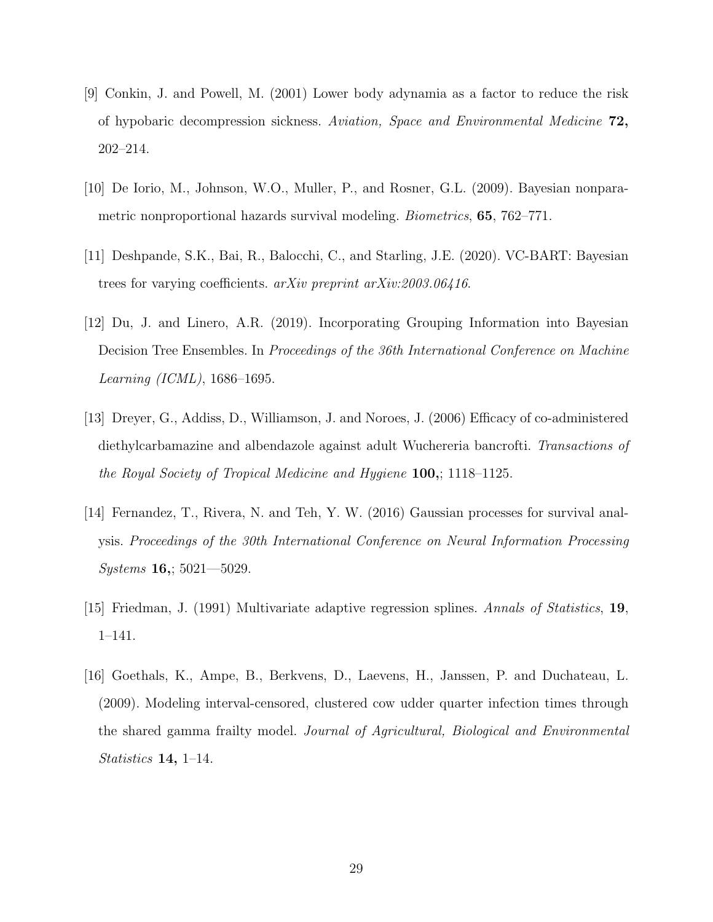- [9] Conkin, J. and Powell, M. (2001) Lower body adynamia as a factor to reduce the risk of hypobaric decompression sickness. Aviation, Space and Environmental Medicine 72, 202–214.
- [10] De Iorio, M., Johnson, W.O., Muller, P., and Rosner, G.L. (2009). Bayesian nonparametric nonproportional hazards survival modeling. Biometrics, 65, 762–771.
- [11] Deshpande, S.K., Bai, R., Balocchi, C., and Starling, J.E. (2020). VC-BART: Bayesian trees for varying coefficients. arXiv preprint arXiv:2003.06416.
- [12] Du, J. and Linero, A.R. (2019). Incorporating Grouping Information into Bayesian Decision Tree Ensembles. In Proceedings of the 36th International Conference on Machine Learning (ICML), 1686–1695.
- [13] Dreyer, G., Addiss, D., Williamson, J. and Noroes, J. (2006) Efficacy of co-administered diethylcarbamazine and albendazole against adult Wuchereria bancrofti. Transactions of the Royal Society of Tropical Medicine and Hygiene 100,; 1118–1125.
- [14] Fernandez, T., Rivera, N. and Teh, Y. W. (2016) Gaussian processes for survival analysis. Proceedings of the 30th International Conference on Neural Information Processing  $Systems~16$ ; 5021-5029.
- [15] Friedman, J. (1991) Multivariate adaptive regression splines. Annals of Statistics, 19, 1–141.
- [16] Goethals, K., Ampe, B., Berkvens, D., Laevens, H., Janssen, P. and Duchateau, L. (2009). Modeling interval-censored, clustered cow udder quarter infection times through the shared gamma frailty model. Journal of Agricultural, Biological and Environmental Statistics 14, 1–14.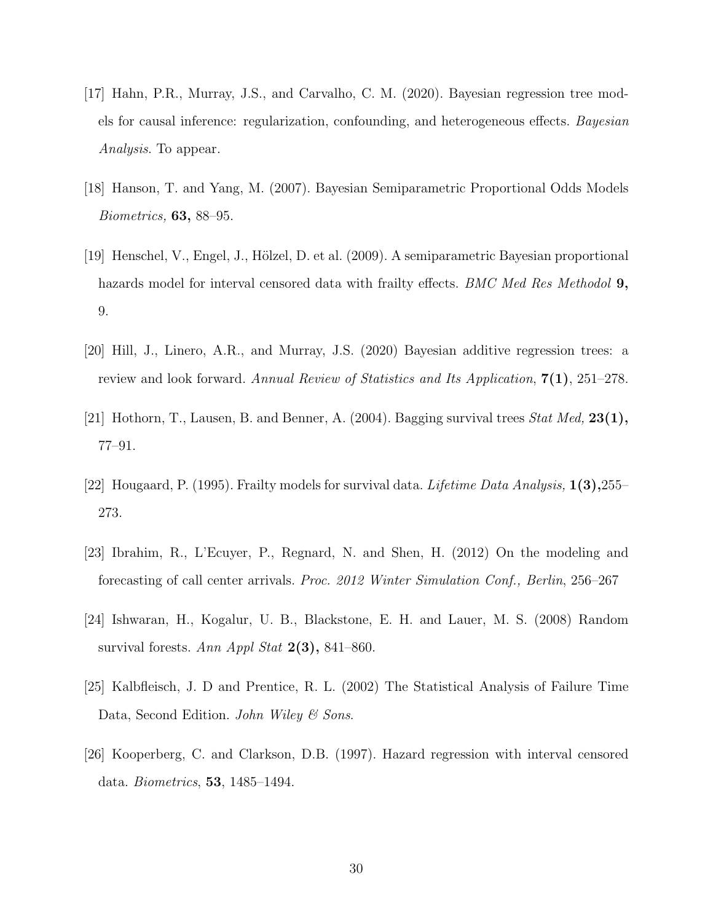- [17] Hahn, P.R., Murray, J.S., and Carvalho, C. M. (2020). Bayesian regression tree models for causal inference: regularization, confounding, and heterogeneous effects. Bayesian Analysis. To appear.
- [18] Hanson, T. and Yang, M. (2007). Bayesian Semiparametric Proportional Odds Models Biometrics, 63, 88–95.
- [19] Henschel, V., Engel, J., Hölzel, D. et al. (2009). A semiparametric Bayesian proportional hazards model for interval censored data with frailty effects. BMC Med Res Methodol 9, 9.
- [20] Hill, J., Linero, A.R., and Murray, J.S. (2020) Bayesian additive regression trees: a review and look forward. Annual Review of Statistics and Its Application, 7(1), 251–278.
- [21] Hothorn, T., Lausen, B. and Benner, A.  $(2004)$ . Bagging survival trees *Stat Med*, **23(1)**, 77–91.
- [22] Hougaard, P. (1995). Frailty models for survival data. Lifetime Data Analysis, 1(3),255– 273.
- [23] Ibrahim, R., L'Ecuyer, P., Regnard, N. and Shen, H. (2012) On the modeling and forecasting of call center arrivals. Proc. 2012 Winter Simulation Conf., Berlin, 256–267
- [24] Ishwaran, H., Kogalur, U. B., Blackstone, E. H. and Lauer, M. S. (2008) Random survival forests. Ann Appl Stat  $2(3)$ , 841–860.
- [25] Kalbfleisch, J. D and Prentice, R. L. (2002) The Statistical Analysis of Failure Time Data, Second Edition. John Wiley & Sons.
- [26] Kooperberg, C. and Clarkson, D.B. (1997). Hazard regression with interval censored data. Biometrics, 53, 1485–1494.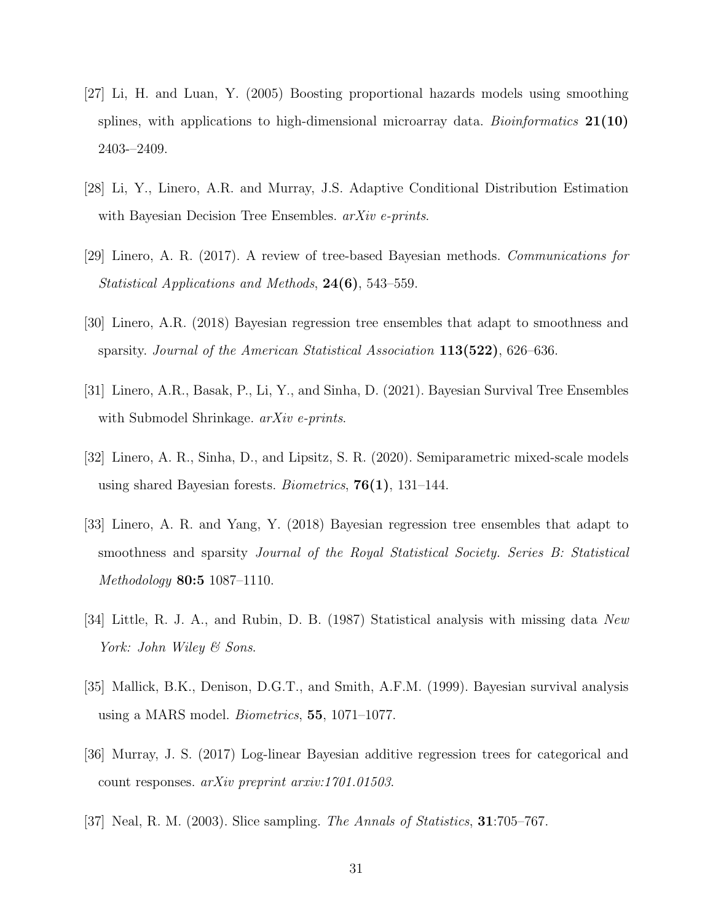- [27] Li, H. and Luan, Y. (2005) Boosting proportional hazards models using smoothing splines, with applications to high-dimensional microarray data. Bioinformatics  $21(10)$ 2403-–2409.
- [28] Li, Y., Linero, A.R. and Murray, J.S. Adaptive Conditional Distribution Estimation with Bayesian Decision Tree Ensembles.  $arXiv$  e-prints.
- [29] Linero, A. R. (2017). A review of tree-based Bayesian methods. Communications for Statistical Applications and Methods, 24(6), 543–559.
- [30] Linero, A.R. (2018) Bayesian regression tree ensembles that adapt to smoothness and sparsity. Journal of the American Statistical Association 113(522), 626–636.
- [31] Linero, A.R., Basak, P., Li, Y., and Sinha, D. (2021). Bayesian Survival Tree Ensembles with Submodel Shrinkage.  $arXiv$  e-prints.
- [32] Linero, A. R., Sinha, D., and Lipsitz, S. R. (2020). Semiparametric mixed-scale models using shared Bayesian forests. *Biometrics*,  $76(1)$ , 131–144.
- [33] Linero, A. R. and Yang, Y. (2018) Bayesian regression tree ensembles that adapt to smoothness and sparsity Journal of the Royal Statistical Society. Series B: Statistical Methodology 80:5 1087–1110.
- [34] Little, R. J. A., and Rubin, D. B. (1987) Statistical analysis with missing data New York: John Wiley & Sons.
- [35] Mallick, B.K., Denison, D.G.T., and Smith, A.F.M. (1999). Bayesian survival analysis using a MARS model. Biometrics, 55, 1071–1077.
- [36] Murray, J. S. (2017) Log-linear Bayesian additive regression trees for categorical and count responses. arXiv preprint arxiv:1701.01503.
- [37] Neal, R. M. (2003). Slice sampling. The Annals of Statistics, 31:705–767.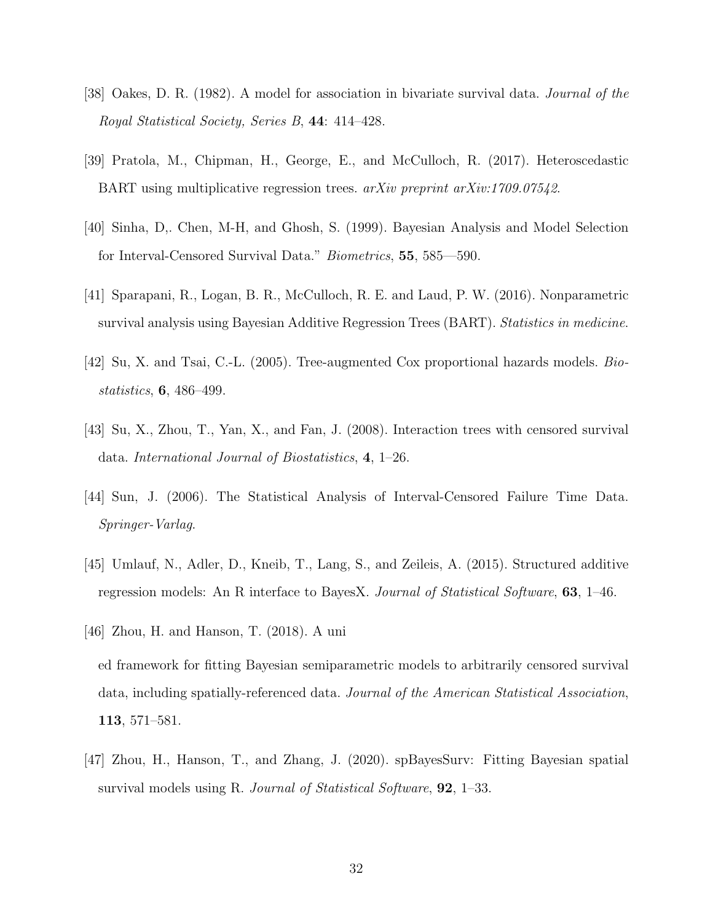- [38] Oakes, D. R. (1982). A model for association in bivariate survival data. Journal of the Royal Statistical Society, Series B, 44: 414–428.
- [39] Pratola, M., Chipman, H., George, E., and McCulloch, R. (2017). Heteroscedastic BART using multiplicative regression trees. arXiv preprint arXiv:1709.07542.
- [40] Sinha, D,. Chen, M-H, and Ghosh, S. (1999). Bayesian Analysis and Model Selection for Interval-Censored Survival Data." Biometrics, 55, 585—590.
- [41] Sparapani, R., Logan, B. R., McCulloch, R. E. and Laud, P. W. (2016). Nonparametric survival analysis using Bayesian Additive Regression Trees (BART). Statistics in medicine.
- [42] Su, X. and Tsai, C.-L. (2005). Tree-augmented Cox proportional hazards models. Biostatistics, 6, 486–499.
- [43] Su, X., Zhou, T., Yan, X., and Fan, J. (2008). Interaction trees with censored survival data. International Journal of Biostatistics, 4, 1–26.
- [44] Sun, J. (2006). The Statistical Analysis of Interval-Censored Failure Time Data. Springer-Varlag.
- [45] Umlauf, N., Adler, D., Kneib, T., Lang, S., and Zeileis, A. (2015). Structured additive regression models: An R interface to BayesX. Journal of Statistical Software, 63, 1–46.
- [46] Zhou, H. and Hanson, T. (2018). A uni ed framework for fitting Bayesian semiparametric models to arbitrarily censored survival data, including spatially-referenced data. Journal of the American Statistical Association, 113, 571–581.
- [47] Zhou, H., Hanson, T., and Zhang, J. (2020). spBayesSurv: Fitting Bayesian spatial survival models using R. Journal of Statistical Software, 92, 1–33.